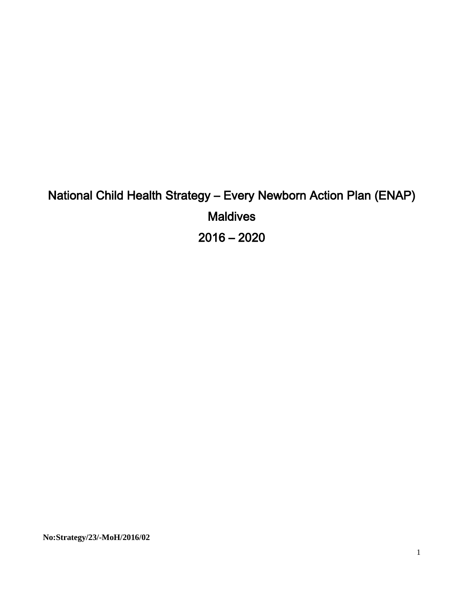# National Child Health Strategy – Every Newborn Action Plan (ENAP) **Maldives** 2016 – 2020

**No:Strategy/23/-MoH/2016/02**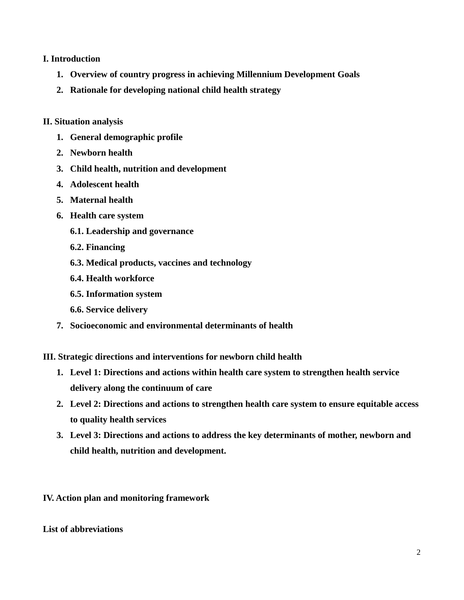#### **I. Introduction**

- **1. Overview of country progress in achieving Millennium Development Goals**
- **2. Rationale for developing national child health strategy**

#### **II. Situation analysis**

- **1. General demographic profile**
- **2. Newborn health**
- **3. Child health, nutrition and development**
- **4. Adolescent health**
- **5. Maternal health**
- **6. Health care system**
	- **6.1. Leadership and governance**
	- **6.2. Financing**
	- **6.3. Medical products, vaccines and technology**
	- **6.4. Health workforce**
	- **6.5. Information system**
	- **6.6. Service delivery**
- **7. Socioeconomic and environmental determinants of health**

**III. Strategic directions and interventions for newborn child health**

- **1. Level 1: Directions and actions within health care system to strengthen health service delivery along the continuum of care**
- **2. Level 2: Directions and actions to strengthen health care system to ensure equitable access to quality health services**
- **3. Level 3: Directions and actions to address the key determinants of mother, newborn and child health, nutrition and development.**

**IV. Action plan and monitoring framework**

#### **List of abbreviations**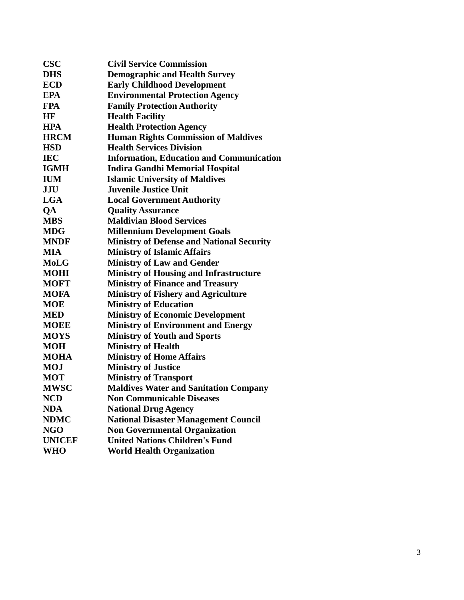| <b>CSC</b>    | <b>Civil Service Commission</b>                  |  |  |
|---------------|--------------------------------------------------|--|--|
| <b>DHS</b>    | <b>Demographic and Health Survey</b>             |  |  |
| <b>ECD</b>    | <b>Early Childhood Development</b>               |  |  |
| <b>EPA</b>    | <b>Environmental Protection Agency</b>           |  |  |
| <b>FPA</b>    | <b>Family Protection Authority</b>               |  |  |
| <b>HF</b>     | <b>Health Facility</b>                           |  |  |
| <b>HPA</b>    | <b>Health Protection Agency</b>                  |  |  |
| <b>HRCM</b>   | <b>Human Rights Commission of Maldives</b>       |  |  |
| <b>HSD</b>    | <b>Health Services Division</b>                  |  |  |
| <b>IEC</b>    | <b>Information, Education and Communication</b>  |  |  |
| <b>IGMH</b>   | <b>Indira Gandhi Memorial Hospital</b>           |  |  |
| <b>IUM</b>    | <b>Islamic University of Maldives</b>            |  |  |
| <b>JJU</b>    | <b>Juvenile Justice Unit</b>                     |  |  |
| <b>LGA</b>    | <b>Local Government Authority</b>                |  |  |
| QA            | <b>Quality Assurance</b>                         |  |  |
| <b>MBS</b>    | <b>Maldivian Blood Services</b>                  |  |  |
| <b>MDG</b>    | <b>Millennium Development Goals</b>              |  |  |
| <b>MNDF</b>   | <b>Ministry of Defense and National Security</b> |  |  |
| <b>MIA</b>    | <b>Ministry of Islamic Affairs</b>               |  |  |
| <b>MoLG</b>   | <b>Ministry of Law and Gender</b>                |  |  |
| <b>MOHI</b>   | <b>Ministry of Housing and Infrastructure</b>    |  |  |
| <b>MOFT</b>   | <b>Ministry of Finance and Treasury</b>          |  |  |
| <b>MOFA</b>   | <b>Ministry of Fishery and Agriculture</b>       |  |  |
| <b>MOE</b>    | <b>Ministry of Education</b>                     |  |  |
| <b>MED</b>    | <b>Ministry of Economic Development</b>          |  |  |
| <b>MOEE</b>   | <b>Ministry of Environment and Energy</b>        |  |  |
| <b>MOYS</b>   | <b>Ministry of Youth and Sports</b>              |  |  |
| <b>MOH</b>    | <b>Ministry of Health</b>                        |  |  |
| <b>MOHA</b>   | <b>Ministry of Home Affairs</b>                  |  |  |
| <b>MOJ</b>    | <b>Ministry of Justice</b>                       |  |  |
| <b>MOT</b>    | <b>Ministry of Transport</b>                     |  |  |
| <b>MWSC</b>   | <b>Maldives Water and Sanitation Company</b>     |  |  |
| <b>NCD</b>    | <b>Non Communicable Diseases</b>                 |  |  |
| <b>NDA</b>    | <b>National Drug Agency</b>                      |  |  |
| <b>NDMC</b>   | <b>National Disaster Management Council</b>      |  |  |
| <b>NGO</b>    | <b>Non Governmental Organization</b>             |  |  |
| <b>UNICEF</b> | <b>United Nations Children's Fund</b>            |  |  |
| <b>WHO</b>    | <b>World Health Organization</b>                 |  |  |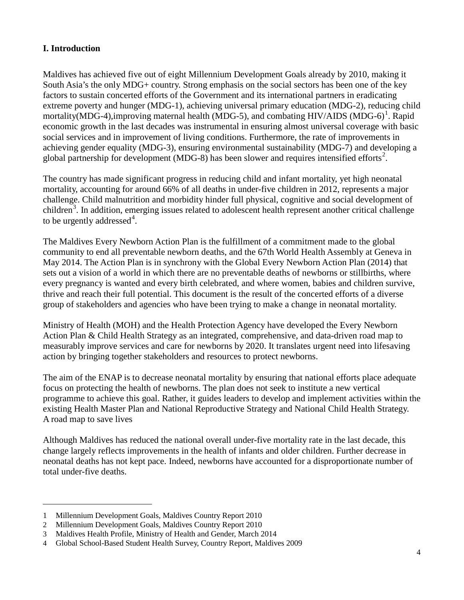## **I. Introduction**

Maldives has achieved five out of eight Millennium Development Goals already by 2010, making it South Asia's the only MDG+ country. Strong emphasis on the social sectors has been one of the key factors to sustain concerted efforts of the Government and its international partners in eradicating extreme poverty and hunger (MDG-1), achieving universal primary education (MDG-2), reducing child mortality(MDG-4),improving maternal health (MDG-5), and combating HIV/AIDS (MDG-6)<sup>[1](#page-3-0)</sup>. Rapid economic growth in the last decades was instrumental in ensuring almost universal coverage with basic social services and in improvement of living conditions. Furthermore, the rate of improvements in achieving gender equality (MDG-3), ensuring environmental sustainability (MDG-7) and developing a global partnership for development (MDG-8) has been slower and requires intensified efforts<sup>[2](#page-3-1)</sup>.

The country has made significant progress in reducing child and infant mortality, yet high neonatal mortality, accounting for around 66% of all deaths in under-five children in 2012, represents a major challenge. Child malnutrition and morbidity hinder full physical, cognitive and social development of children<sup>[3](#page-3-2)</sup>. In addition, emerging issues related to adolescent health represent another critical challenge to be urgently addressed<sup>[4](#page-3-3)</sup>.

The Maldives Every Newborn Action Plan is the fulfillment of a commitment made to the global community to end all preventable newborn deaths, and the 67th World Health Assembly at Geneva in May 2014. The Action Plan is in synchrony with the Global Every Newborn Action Plan (2014) that sets out a vision of a world in which there are no preventable deaths of newborns or stillbirths, where every pregnancy is wanted and every birth celebrated, and where women, babies and children survive, thrive and reach their full potential. This document is the result of the concerted efforts of a diverse group of stakeholders and agencies who have been trying to make a change in neonatal mortality.

Ministry of Health (MOH) and the Health Protection Agency have developed the Every Newborn Action Plan & Child Health Strategy as an integrated, comprehensive, and data-driven road map to measurably improve services and care for newborns by 2020. It translates urgent need into lifesaving action by bringing together stakeholders and resources to protect newborns.

The aim of the ENAP is to decrease neonatal mortality by ensuring that national efforts place adequate focus on protecting the health of newborns. The plan does not seek to institute a new vertical programme to achieve this goal. Rather, it guides leaders to develop and implement activities within the existing Health Master Plan and National Reproductive Strategy and National Child Health Strategy. A road map to save lives

Although Maldives has reduced the national overall under-five mortality rate in the last decade, this change largely reflects improvements in the health of infants and older children. Further decrease in neonatal deaths has not kept pace. Indeed, newborns have accounted for a disproportionate number of total under-five deaths.

<span id="page-3-0"></span><sup>1</sup> Millennium Development Goals, Maldives Country Report 2010

<span id="page-3-1"></span><sup>2</sup> Millennium Development Goals, Maldives Country Report 2010

<span id="page-3-2"></span><sup>3</sup> Maldives Health Profile, Ministry of Health and Gender, March 2014

<span id="page-3-3"></span><sup>4</sup> Global School-Based Student Health Survey, Country Report, Maldives 2009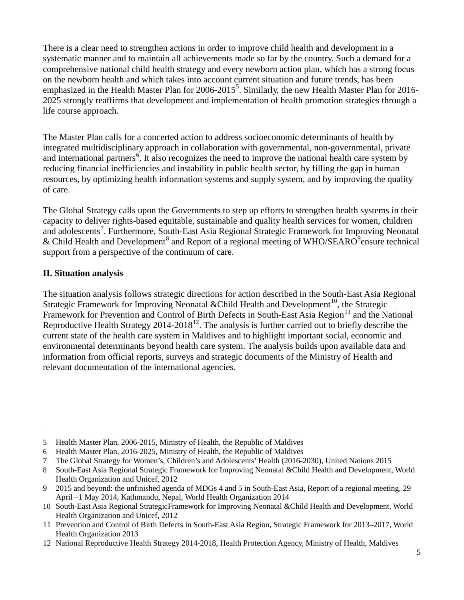There is a clear need to strengthen actions in order to improve child health and development in a systematic manner and to maintain all achievements made so far by the country. Such a demand for a comprehensive national child health strategy and every newborn action plan, which has a strong focus on the newborn health and which takes into account current situation and future trends, has been emphasized in the Health Master Plan for 2006-201[5](#page-4-0)<sup>5</sup>. Similarly, the new Health Master Plan for 2016-2025 strongly reaffirms that development and implementation of health promotion strategies through a life course approach.

The Master Plan calls for a concerted action to address socioeconomic determinants of health by integrated multidisciplinary approach in collaboration with governmental, non-governmental, private and international partners<sup>[6](#page-4-1)</sup>. It also recognizes the need to improve the national health care system by reducing financial inefficiencies and instability in public health sector, by filling the gap in human resources, by optimizing health information systems and supply system, and by improving the quality of care.

The Global Strategy calls upon the Governments to step up efforts to strengthen health systems in their capacity to deliver rights-based equitable, sustainable and quality health services for women, children and adolescents<sup>[7](#page-4-2)</sup>. Furthermore, South-East Asia Regional Strategic Framework for Improving Neonatal & Child Health and Development<sup>[8](#page-4-3)</sup> and Report of a regional meeting of WHO/SEARO<sup>[9](#page-4-4)</sup> ensure technical support from a perspective of the continuum of care.

## **II. Situation analysis**

 $\overline{a}$ 

The situation analysis follows strategic directions for action described in the South-East Asia Regional Strategic Framework for Improving Neonatal & Child Health and Development<sup>[10](#page-4-5)</sup>, the Strategic Framework for Prevention and Control of Birth Defects in South-East Asia Region<sup>[11](#page-4-6)</sup> and the National Reproductive Health Strategy 2014-2018<sup>12</sup>. The analysis is further carried out to briefly describe the current state of the health care system in Maldives and to highlight important social, economic and environmental determinants beyond health care system. The analysis builds upon available data and information from official reports, surveys and strategic documents of the Ministry of Health and relevant documentation of the international agencies.

<span id="page-4-0"></span><sup>5</sup> Health Master Plan, 2006-2015, Ministry of Health, the Republic of Maldives

<span id="page-4-1"></span><sup>6</sup> Health Master Plan, 2016-2025, Ministry of Health, the Republic of Maldives

<span id="page-4-2"></span><sup>7</sup> The Global Strategy for Women's, Children's and Adolescents' Health (2016-2030), United Nations 2015

<span id="page-4-3"></span><sup>8</sup> South-East Asia Regional Strategic Framework for Improving Neonatal &Child Health and Development, World Health Organization and Unicef, 2012

<span id="page-4-4"></span><sup>9</sup> 2015 and beyond: the unfinished agenda of MDGs 4 and 5 in South-East Asia, Report of a regional meeting, 29 April –1 May 2014, Kathmandu, Nepal, World Health Organization 2014

<span id="page-4-5"></span><sup>10</sup> South-East Asia Regional StrategicFramework for Improving Neonatal &Child Health and Development, World Health Organization and Unicef, 2012

<span id="page-4-6"></span><sup>11</sup> Prevention and Control of Birth Defects in South-East Asia Region, Strategic Framework for 2013–2017, World Health Organization 2013

<span id="page-4-7"></span><sup>12</sup> National Reproductive Health Strategy 2014-2018, Health Protection Agency, Ministry of Health, Maldives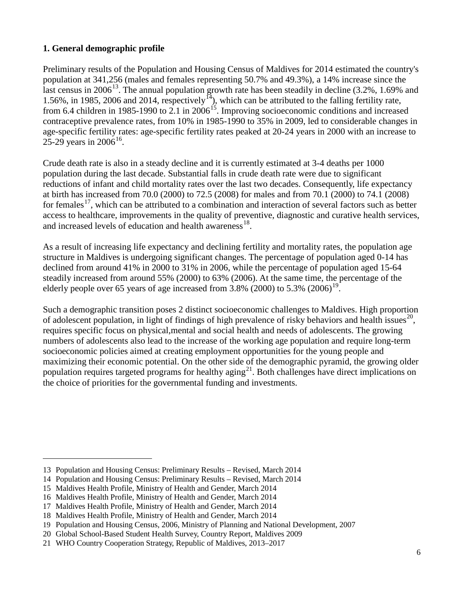## **1. General demographic profile**

Preliminary results of the Population and Housing Census of Maldives for 2014 estimated the country's population at 341,256 (males and females representing 50.7% and 49.3%), a 14% increase since the last census in 2006<sup>[13](#page-5-0)</sup>. The annual population growth rate has been steadily in decline  $(3.2\%$ , 1.69% and 1.56%, in 1985, 2006 and 2014, respectively<sup>14</sup>), which can be attributed to the falling fertility rate, from 6.4 children in 1985-1990 to 2.1 in 2006<sup>15</sup>. Improving socioeconomic conditions and increased contraceptive prevalence rates, from 10% in 1985-1990 to 35% in 2009, led to considerable changes in age-specific fertility rates: age-specific fertility rates peaked at 20-24 years in 2000 with an increase to 25-29 years in  $2006^{16}$ .

Crude death rate is also in a steady decline and it is currently estimated at 3-4 deaths per 1000 population during the last decade. Substantial falls in crude death rate were due to significant reductions of infant and child mortality rates over the last two decades. Consequently, life expectancy at birth has increased from 70.0 (2000) to 72.5 (2008) for males and from 70.1 (2000) to 74.1 (2008) for females<sup>17</sup>, which can be attributed to a combination and interaction of several factors such as better access to healthcare, improvements in the quality of preventive, diagnostic and curative health services, and increased levels of education and health awareness $^{18}$ .

As a result of increasing life expectancy and declining fertility and mortality rates, the population age structure in Maldives is undergoing significant changes. The percentage of population aged 0-14 has declined from around 41% in 2000 to 31% in 2006, while the percentage of population aged 15-64 steadily increased from around 55% (2000) to 63% (2006). At the same time, the percentage of the elderly people over 65 years of age increased from  $3.8\%$  (2000) to  $5.3\%$  (2006)<sup>19</sup>.

Such a demographic transition poses 2 distinct socioeconomic challenges to Maldives. High proportion of adolescent population, in light of findings of high prevalence of risky behaviors and health issues<sup>[20](#page-5-7)</sup>, requires specific focus on physical,mental and social health and needs of adolescents. The growing numbers of adolescents also lead to the increase of the working age population and require long-term socioeconomic policies aimed at creating employment opportunities for the young people and maximizing their economic potential. On the other side of the demographic pyramid, the growing older population requires targeted programs for healthy  $\frac{1}{2}$ . Both challenges have direct implications on the choice of priorities for the governmental funding and investments.

<span id="page-5-0"></span><sup>13</sup> Population and Housing Census: Preliminary Results – Revised, March 2014

<span id="page-5-1"></span><sup>14</sup> Population and Housing Census: Preliminary Results – Revised, March 2014

<span id="page-5-2"></span><sup>15</sup> Maldives Health Profile, Ministry of Health and Gender, March 2014

<span id="page-5-3"></span><sup>16</sup> Maldives Health Profile, Ministry of Health and Gender, March 2014

<span id="page-5-4"></span><sup>17</sup> Maldives Health Profile, Ministry of Health and Gender, March 2014

<span id="page-5-5"></span><sup>18</sup> Maldives Health Profile, Ministry of Health and Gender, March 2014

<span id="page-5-6"></span><sup>19</sup> Population and Housing Census, 2006, Ministry of Planning and National Development, 2007

<span id="page-5-7"></span><sup>20</sup> Global School-Based Student Health Survey, Country Report, Maldives 2009

<span id="page-5-8"></span><sup>21</sup> WHO Country Cooperation Strategy, Republic of Maldives, 2013–2017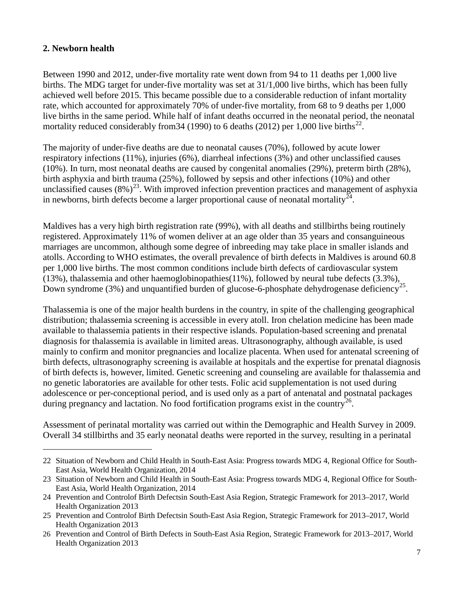## **2. Newborn health**

 $\overline{a}$ 

Between 1990 and 2012, under-five mortality rate went down from 94 to 11 deaths per 1,000 live births. The MDG target for under-five mortality was set at 31/1,000 live births, which has been fully achieved well before 2015. This became possible due to a considerable reduction of infant mortality rate, which accounted for approximately 70% of under-five mortality, from 68 to 9 deaths per 1,000 live births in the same period. While half of infant deaths occurred in the neonatal period, the neonatal mortality reduced considerably from 34 (1990) to 6 deaths (2012) per 1,000 live births<sup>22</sup>.

The majority of under-five deaths are due to neonatal causes (70%), followed by acute lower respiratory infections (11%), injuries (6%), diarrheal infections (3%) and other unclassified causes (10%). In turn, most neonatal deaths are caused by congenital anomalies (29%), preterm birth (28%), birth asphyxia and birth trauma (25%), followed by sepsis and other infections (10%) and other unclassified causes  $(8\%)^{23}$ . With improved infection prevention practices and management of asphyxia in newborns, birth defects become a larger proportional cause of neonatal mortality<sup>[24](#page-6-2)</sup>.

Maldives has a very high birth registration rate (99%), with all deaths and stillbirths being routinely registered. Approximately 11% of women deliver at an age older than 35 years and consanguineous marriages are uncommon, although some degree of inbreeding may take place in smaller islands and atolls. According to WHO estimates, the overall prevalence of birth defects in Maldives is around 60.8 per 1,000 live births. The most common conditions include birth defects of cardiovascular system (13%), thalassemia and other haemoglobinopathies(11%), followed by neural tube defects (3.3%), Down syndrome (3%) and unquantified burden of glucose-6-phosphate dehydrogenase deficiency<sup>[25](#page-6-3)</sup>.

Thalassemia is one of the major health burdens in the country, in spite of the challenging geographical distribution; thalassemia screening is accessible in every atoll. Iron chelation medicine has been made available to thalassemia patients in their respective islands. Population-based screening and prenatal diagnosis for thalassemia is available in limited areas. Ultrasonography, although available, is used mainly to confirm and monitor pregnancies and localize placenta. When used for antenatal screening of birth defects, ultrasonography screening is available at hospitals and the expertise for prenatal diagnosis of birth defects is, however, limited. Genetic screening and counseling are available for thalassemia and no genetic laboratories are available for other tests. Folic acid supplementation is not used during adolescence or per-conceptional period, and is used only as a part of antenatal and postnatal packages during pregnancy and lactation. No food fortification programs exist in the country<sup>[26](#page-6-4)</sup>.

Assessment of perinatal mortality was carried out within the Demographic and Health Survey in 2009. Overall 34 stillbirths and 35 early neonatal deaths were reported in the survey, resulting in a perinatal

<span id="page-6-0"></span><sup>22</sup> Situation of Newborn and Child Health in South-East Asia: Progress towards MDG 4, Regional Office for South-East Asia, World Health Organization, 2014

<span id="page-6-1"></span><sup>23</sup> Situation of Newborn and Child Health in South-East Asia: Progress towards MDG 4, Regional Office for South-East Asia, World Health Organization, 2014

<span id="page-6-2"></span><sup>24</sup> Prevention and Controlof Birth Defectsin South-East Asia Region, Strategic Framework for 2013–2017, World Health Organization 2013

<span id="page-6-3"></span><sup>25</sup> Prevention and Controlof Birth Defectsin South-East Asia Region, Strategic Framework for 2013–2017, World Health Organization 2013

<span id="page-6-4"></span><sup>26</sup> Prevention and Control of Birth Defects in South-East Asia Region, Strategic Framework for 2013–2017, World Health Organization 2013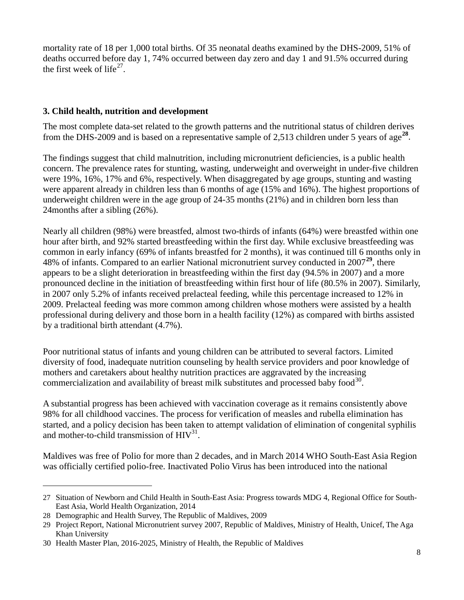mortality rate of 18 per 1,000 total births. Of 35 neonatal deaths examined by the DHS-2009, 51% of deaths occurred before day 1, 74% occurred between day zero and day 1 and 91.5% occurred during the first week of life<sup>27</sup>.

#### **3. Child health, nutrition and development**

The most complete data-set related to the growth patterns and the nutritional status of children derives from the DHS-2009 and is based on a representative sample of 2,513 children under 5 years of age**[28](#page-7-1)**.

The findings suggest that child malnutrition, including micronutrient deficiencies, is a public health concern. The prevalence rates for stunting, wasting, underweight and overweight in under-five children were 19%, 16%, 17% and 6%, respectively. When disaggregated by age groups, stunting and wasting were apparent already in children less than 6 months of age (15% and 16%). The highest proportions of underweight children were in the age group of 24-35 months (21%) and in children born less than 24months after a sibling (26%).

Nearly all children (98%) were breastfed, almost two-thirds of infants (64%) were breastfed within one hour after birth, and 92% started breastfeeding within the first day. While exclusive breastfeeding was common in early infancy (69% of infants breastfed for 2 months), it was continued till 6 months only in 48% of infants. Compared to an earlier National micronutrient survey conducted in 2007**[29](#page-7-2)**, there appears to be a slight deterioration in breastfeeding within the first day (94.5% in 2007) and a more pronounced decline in the initiation of breastfeeding within first hour of life (80.5% in 2007). Similarly, in 2007 only 5.2% of infants received prelacteal feeding, while this percentage increased to 12% in 2009. Prelacteal feeding was more common among children whose mothers were assisted by a health professional during delivery and those born in a health facility (12%) as compared with births assisted by a traditional birth attendant (4.7%).

Poor nutritional status of infants and young children can be attributed to several factors. Limited diversity of food, inadequate nutrition counseling by health service providers and poor knowledge of mothers and caretakers about healthy nutrition practices are aggravated by the increasing commercialization and availability of breast milk substitutes and processed baby food $^{30}$  $^{30}$  $^{30}$ .

A substantial progress has been achieved with vaccination coverage as it remains consistently above 98% for all childhood vaccines. The process for verification of measles and rubella elimination has started, and a policy decision has been taken to attempt validation of elimination of congenital syphilis and mother-to-child transmission of  $HIV<sup>31</sup>$ .

Maldives was free of Polio for more than 2 decades, and in March 2014 WHO South-East Asia Region was officially certified polio-free. Inactivated Polio Virus has been introduced into the national

<span id="page-7-0"></span><sup>27</sup> Situation of Newborn and Child Health in South-East Asia: Progress towards MDG 4, Regional Office for South-East Asia, World Health Organization, 2014

<span id="page-7-1"></span><sup>28</sup> Demographic and Health Survey, The Republic of Maldives, 2009

<span id="page-7-2"></span><sup>29</sup> Project Report, National Micronutrient survey 2007, Republic of Maldives, Ministry of Health, Unicef, The Aga Khan University

<span id="page-7-3"></span><sup>30</sup> Health Master Plan, 2016-2025, Ministry of Health, the Republic of Maldives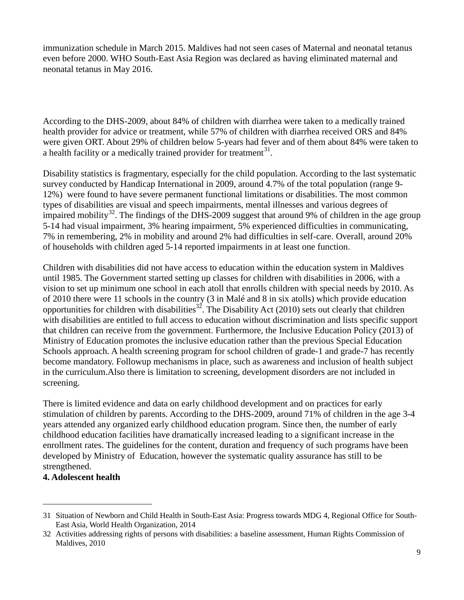immunization schedule in March 2015. Maldives had not seen cases of Maternal and neonatal tetanus even before 2000. WHO South-East Asia Region was declared as having eliminated maternal and neonatal tetanus in May 2016.

According to the DHS-2009, about 84% of children with diarrhea were taken to a medically trained health provider for advice or treatment, while 57% of children with diarrhea received ORS and 84% were given ORT. About 29% of children below 5-years had fever and of them about 84% were taken to a health facility or a medically trained provider for treatment<sup>31</sup>.

Disability statistics is fragmentary, especially for the child population. According to the last systematic survey conducted by Handicap International in 2009, around 4.7% of the total population (range 9- 12%) were found to have severe permanent functional limitations or disabilities. The most common types of disabilities are visual and speech impairments, mental illnesses and various degrees of impaired mobility<sup>32</sup>. The findings of the DHS-2009 suggest that around 9% of children in the age group 5-14 had visual impairment, 3% hearing impairment, 5% experienced difficulties in communicating, 7% in remembering, 2% in mobility and around 2% had difficulties in self-care. Overall, around 20% of households with children aged 5-14 reported impairments in at least one function.

Children with disabilities did not have access to education within the education system in Maldives until 1985. The Government started setting up classes for children with disabilities in 2006, with a vision to set up minimum one school in each atoll that enrolls children with special needs by 2010. As of 2010 there were 11 schools in the country (3 in Malé and 8 in six atolls) which provide education opportunities for children with disabilities<sup>32</sup>. The Disability Act (2010) sets out clearly that children with disabilities are entitled to full access to education without discrimination and lists specific support that children can receive from the government. Furthermore, the Inclusive Education Policy (2013) of Ministry of Education promotes the inclusive education rather than the previous Special Education Schools approach. A health screening program for school children of grade-1 and grade-7 has recently become mandatory. Followup mechanisms in place, such as awareness and inclusion of health subject in the curriculum.Also there is limitation to screening, development disorders are not included in screening.

There is limited evidence and data on early childhood development and on practices for early stimulation of children by parents. According to the DHS-2009, around 71% of children in the age 3-4 years attended any organized early childhood education program. Since then, the number of early childhood education facilities have dramatically increased leading to a significant increase in the enrollment rates. The guidelines for the content, duration and frequency of such programs have been developed by Ministry of Education, however the systematic quality assurance has still to be strengthened.

## **4. Adolescent health**

<span id="page-8-0"></span><sup>31</sup> Situation of Newborn and Child Health in South-East Asia: Progress towards MDG 4, Regional Office for South-East Asia, World Health Organization, 2014

<span id="page-8-1"></span><sup>32</sup> Activities addressing rights of persons with disabilities: a baseline assessment, Human Rights Commission of Maldives, 2010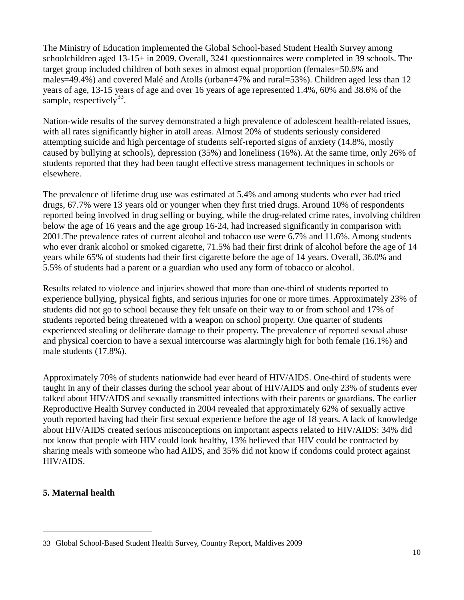The Ministry of Education implemented the Global School-based Student Health Survey among schoolchildren aged 13-15+ in 2009. Overall, 3241 questionnaires were completed in 39 schools. The target group included children of both sexes in almost equal proportion (females=50.6% and males=49.4%) and covered Malé and Atolls (urban=47% and rural=53%). Children aged less than 12 years of age, 13-15 years of age and over 16 years of age represented 1.4%, 60% and 38.6% of the sample, respectively  $33<sup>33</sup>$  $33<sup>33</sup>$ .

Nation-wide results of the survey demonstrated a high prevalence of adolescent health-related issues, with all rates significantly higher in atoll areas. Almost 20% of students seriously considered attempting suicide and high percentage of students self-reported signs of anxiety (14.8%, mostly caused by bullying at schools), depression (35%) and loneliness (16%). At the same time, only 26% of students reported that they had been taught effective stress management techniques in schools or elsewhere.

The prevalence of lifetime drug use was estimated at 5.4% and among students who ever had tried drugs, 67.7% were 13 years old or younger when they first tried drugs. Around 10% of respondents reported being involved in drug selling or buying, while the drug-related crime rates, involving children below the age of 16 years and the age group 16-24, had increased significantly in comparison with 2001.The prevalence rates of current alcohol and tobacco use were 6.7% and 11.6%. Among students who ever drank alcohol or smoked cigarette, 71.5% had their first drink of alcohol before the age of 14 years while 65% of students had their first cigarette before the age of 14 years. Overall, 36.0% and 5.5% of students had a parent or a guardian who used any form of tobacco or alcohol.

Results related to violence and injuries showed that more than one-third of students reported to experience bullying, physical fights, and serious injuries for one or more times. Approximately 23% of students did not go to school because they felt unsafe on their way to or from school and 17% of students reported being threatened with a weapon on school property. One quarter of students experienced stealing or deliberate damage to their property. The prevalence of reported sexual abuse and physical coercion to have a sexual intercourse was alarmingly high for both female (16.1%) and male students (17.8%).

Approximately 70% of students nationwide had ever heard of HIV/AIDS. One-third of students were taught in any of their classes during the school year about of HIV/AIDS and only 23% of students ever talked about HIV/AIDS and sexually transmitted infections with their parents or guardians. The earlier Reproductive Health Survey conducted in 2004 revealed that approximately 62% of sexually active youth reported having had their first sexual experience before the age of 18 years. A lack of knowledge about HIV/AIDS created serious misconceptions on important aspects related to HIV/AIDS: 34% did not know that people with HIV could look healthy, 13% believed that HIV could be contracted by sharing meals with someone who had AIDS, and 35% did not know if condoms could protect against HIV/AIDS.

## **5. Maternal health**

<span id="page-9-0"></span><sup>33</sup> Global School-Based Student Health Survey, Country Report, Maldives 2009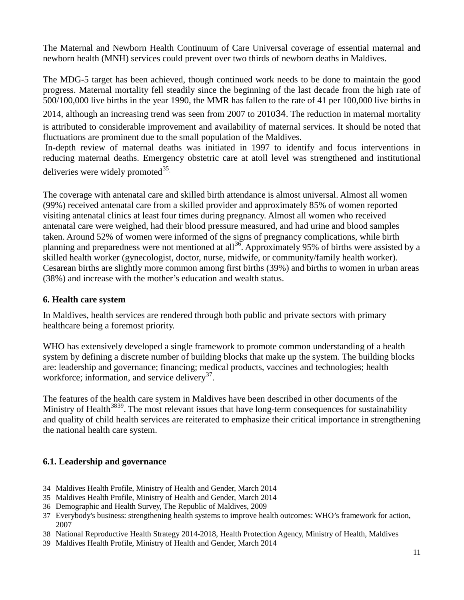The Maternal and Newborn Health Continuum of Care Universal coverage of essential maternal and newborn health (MNH) services could prevent over two thirds of newborn deaths in Maldives.

The MDG-5 target has been achieved, though continued work needs to be done to maintain the good progress. Maternal mortality fell steadily since the beginning of the last decade from the high rate of 500/100,000 live births in the year 1990, the MMR has fallen to the rate of 41 per 100,000 live births in

2014, although an increasing trend was seen from 2007 to 2010[34](#page-10-0). The reduction in maternal mortality is attributed to considerable improvement and availability of maternal services. It should be noted that fluctuations are prominent due to the small population of the Maldives.

In-depth review of maternal deaths was initiated in 1997 to identify and focus interventions in reducing maternal deaths. Emergency obstetric care at atoll level was strengthened and institutional deliveries were widely promoted $35$ .

The coverage with antenatal care and skilled birth attendance is almost universal. Almost all women (99%) received antenatal care from a skilled provider and approximately 85% of women reported visiting antenatal clinics at least four times during pregnancy. Almost all women who received antenatal care were weighed, had their blood pressure measured, and had urine and blood samples taken. Around 52% of women were informed of the signs of pregnancy complications, while birth planning and preparedness were not mentioned at all<sup>[36](#page-10-2)</sup>. Approximately 95% of births were assisted by a skilled health worker (gynecologist, doctor, nurse, midwife, or community/family health worker). Cesarean births are slightly more common among first births (39%) and births to women in urban areas (38%) and increase with the mother's education and wealth status.

## **6. Health care system**

In Maldives, health services are rendered through both public and private sectors with primary healthcare being a foremost priority.

WHO has extensively developed a single framework to promote common understanding of a health system by defining a discrete number of building blocks that make up the system. The building blocks are: leadership and governance; financing; medical products, vaccines and technologies; health workforce; information, and service delivery<sup>[37](#page-10-3)</sup>.

The features of the health care system in Maldives have been described in other documents of the Ministry of Health<sup>[38](#page-10-4)[39](#page-10-5)</sup>. The most relevant issues that have long-term consequences for sustainability and quality of child health services are reiterated to emphasize their critical importance in strengthening the national health care system.

## **6.1. Leadership and governance**

<span id="page-10-0"></span><sup>34</sup> Maldives Health Profile, Ministry of Health and Gender, March 2014

<span id="page-10-1"></span><sup>35</sup> Maldives Health Profile, Ministry of Health and Gender, March 2014

<span id="page-10-2"></span><sup>36</sup> Demographic and Health Survey, The Republic of Maldives, 2009

<span id="page-10-3"></span><sup>37</sup> Everybody's business: strengthening health systems to improve health outcomes: WHO's framework for action, 2007

<span id="page-10-4"></span><sup>38</sup> National Reproductive Health Strategy 2014-2018, Health Protection Agency, Ministry of Health, Maldives

<span id="page-10-5"></span><sup>39</sup> Maldives Health Profile, Ministry of Health and Gender, March 2014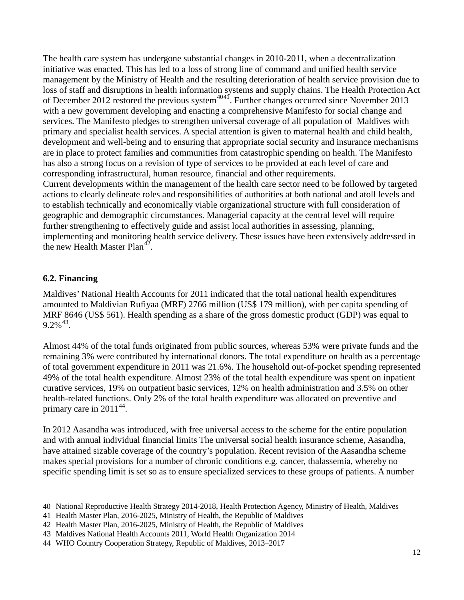The health care system has undergone substantial changes in 2010-2011, when a decentralization initiative was enacted. This has led to a loss of strong line of command and unified health service management by the Ministry of Health and the resulting deterioration of health service provision due to loss of staff and disruptions in health information systems and supply chains. The Health Protection Act of December 2012 restored the previous system<sup>[40](#page-11-0)[41](#page-11-1)</sup>. Further changes occurred since November 2013 with a new government developing and enacting a comprehensive Manifesto for social change and services. The Manifesto pledges to strengthen universal coverage of all population of Maldives with primary and specialist health services. A special attention is given to maternal health and child health, development and well-being and to ensuring that appropriate social security and insurance mechanisms are in place to protect families and communities from catastrophic spending on health. The Manifesto has also a strong focus on a revision of type of services to be provided at each level of care and corresponding infrastructural, human resource, financial and other requirements. Current developments within the management of the health care sector need to be followed by targeted actions to clearly delineate roles and responsibilities of authorities at both national and atoll levels and to establish technically and economically viable organizational structure with full consideration of geographic and demographic circumstances. Managerial capacity at the central level will require further strengthening to effectively guide and assist local authorities in assessing, planning, implementing and monitoring health service delivery. These issues have been extensively addressed in

the new Health Master Plan<sup>42</sup>.

#### **6.2. Financing**

 $\overline{a}$ 

Maldives' National Health Accounts for 2011 indicated that the total national health expenditures amounted to Maldivian Rufiyaa (MRF) 2766 million (US\$ 179 million), with per capita spending of MRF 8646 (US\$ 561). Health spending as a share of the gross domestic product (GDP) was equal to  $9.2\%$ <sup>[43](#page-11-3)</sup>.

Almost 44% of the total funds originated from public sources, whereas 53% were private funds and the remaining 3% were contributed by international donors. The total expenditure on health as a percentage of total government expenditure in 2011 was 21.6%. The household out-of-pocket spending represented 49% of the total health expenditure. Almost 23% of the total health expenditure was spent on inpatient curative services, 19% on outpatient basic services, 12% on health administration and 3.5% on other health-related functions. Only 2% of the total health expenditure was allocated on preventive and primary care in  $2011^{44}$  $2011^{44}$  $2011^{44}$ .

In 2012 Aasandha was introduced, with free universal access to the scheme for the entire population and with annual individual financial limits The universal social health insurance scheme, Aasandha, have attained sizable coverage of the country's population. Recent revision of the Aasandha scheme makes special provisions for a number of chronic conditions e.g. cancer, thalassemia, whereby no specific spending limit is set so as to ensure specialized services to these groups of patients. A number

<span id="page-11-0"></span><sup>40</sup> National Reproductive Health Strategy 2014-2018, Health Protection Agency, Ministry of Health, Maldives

<span id="page-11-1"></span><sup>41</sup> Health Master Plan, 2016-2025, Ministry of Health, the Republic of Maldives

<span id="page-11-2"></span><sup>42</sup> Health Master Plan, 2016-2025, Ministry of Health, the Republic of Maldives

<span id="page-11-3"></span><sup>43</sup> Maldives National Health Accounts 2011, World Health Organization 2014

<span id="page-11-4"></span><sup>44</sup> WHO Country Cooperation Strategy, Republic of Maldives, 2013–2017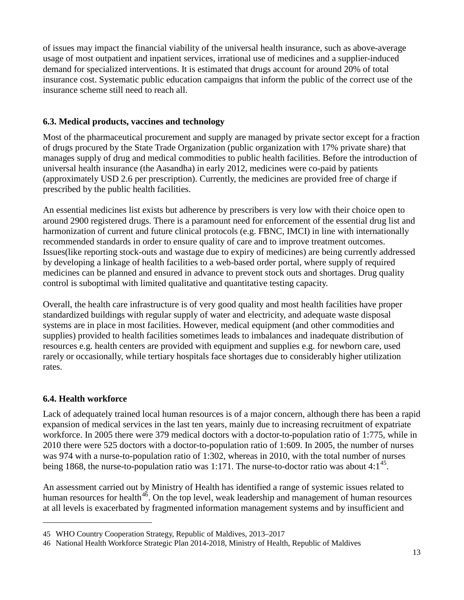of issues may impact the financial viability of the universal health insurance, such as above-average usage of most outpatient and inpatient services, irrational use of medicines and a supplier-induced demand for specialized interventions. It is estimated that drugs account for around 20% of total insurance cost. Systematic public education campaigns that inform the public of the correct use of the insurance scheme still need to reach all.

## **6.3. Medical products, vaccines and technology**

Most of the pharmaceutical procurement and supply are managed by private sector except for a fraction of drugs procured by the State Trade Organization (public organization with 17% private share) that manages supply of drug and medical commodities to public health facilities. Before the introduction of universal health insurance (the Aasandha) in early 2012, medicines were co-paid by patients (approximately USD 2.6 per prescription). Currently, the medicines are provided free of charge if prescribed by the public health facilities.

An essential medicines list exists but adherence by prescribers is very low with their choice open to around 2900 registered drugs. There is a paramount need for enforcement of the essential drug list and harmonization of current and future clinical protocols (e.g. FBNC, IMCI) in line with internationally recommended standards in order to ensure quality of care and to improve treatment outcomes. Issues(like reporting stock-outs and wastage due to expiry of medicines) are being currently addressed by developing a linkage of health facilities to a web-based order portal, where supply of required medicines can be planned and ensured in advance to prevent stock outs and shortages. Drug quality control is suboptimal with limited qualitative and quantitative testing capacity.

Overall, the health care infrastructure is of very good quality and most health facilities have proper standardized buildings with regular supply of water and electricity, and adequate waste disposal systems are in place in most facilities. However, medical equipment (and other commodities and supplies) provided to health facilities sometimes leads to imbalances and inadequate distribution of resources e.g. health centers are provided with equipment and supplies e.g. for newborn care, used rarely or occasionally, while tertiary hospitals face shortages due to considerably higher utilization rates.

## **6.4. Health workforce**

 $\overline{a}$ 

Lack of adequately trained local human resources is of a major concern, although there has been a rapid expansion of medical services in the last ten years, mainly due to increasing recruitment of expatriate workforce. In 2005 there were 379 medical doctors with a doctor-to-population ratio of 1:775, while in 2010 there were 525 doctors with a doctor-to-population ratio of 1:609. In 2005, the number of nurses was 974 with a nurse-to-population ratio of 1:302, whereas in 2010, with the total number of nurses being 1868, the nurse-to-population ratio was 1:171. The nurse-to-doctor ratio was about 4: $1^{45}$  $1^{45}$  $1^{45}$ .

An assessment carried out by Ministry of Health has identified a range of systemic issues related to human resources for health<sup>46</sup>. On the top level, weak leadership and management of human resources at all levels is exacerbated by fragmented information management systems and by insufficient and

<span id="page-12-0"></span><sup>45</sup> WHO Country Cooperation Strategy, Republic of Maldives, 2013–2017

<span id="page-12-1"></span><sup>46</sup> National Health Workforce Strategic Plan 2014-2018, Ministry of Health, Republic of Maldives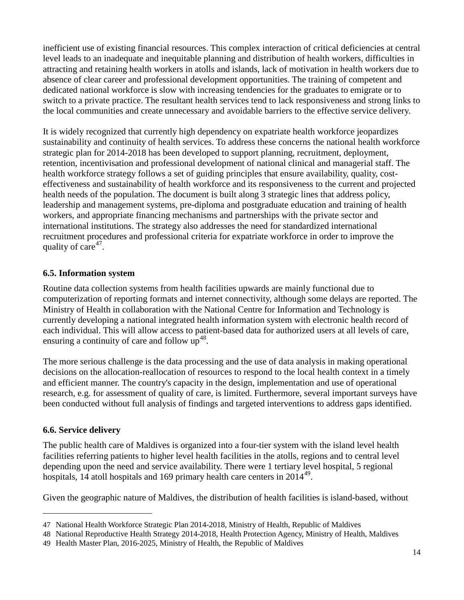inefficient use of existing financial resources. This complex interaction of critical deficiencies at central level leads to an inadequate and inequitable planning and distribution of health workers, difficulties in attracting and retaining health workers in atolls and islands, lack of motivation in health workers due to absence of clear career and professional development opportunities. The training of competent and dedicated national workforce is slow with increasing tendencies for the graduates to emigrate or to switch to a private practice. The resultant health services tend to lack responsiveness and strong links to the local communities and create unnecessary and avoidable barriers to the effective service delivery.

It is widely recognized that currently high dependency on expatriate health workforce jeopardizes sustainability and continuity of health services. To address these concerns the national health workforce strategic plan for 2014-2018 has been developed to support planning, recruitment, deployment, retention, incentivisation and professional development of national clinical and managerial staff. The health workforce strategy follows a set of guiding principles that ensure availability, quality, costeffectiveness and sustainability of health workforce and its responsiveness to the current and projected health needs of the population. The document is built along 3 strategic lines that address policy, leadership and management systems, pre-diploma and postgraduate education and training of health workers, and appropriate financing mechanisms and partnerships with the private sector and international institutions. The strategy also addresses the need for standardized international recruitment procedures and professional criteria for expatriate workforce in order to improve the quality of care<sup>47</sup>.

## **6.5. Information system**

Routine data collection systems from health facilities upwards are mainly functional due to computerization of reporting formats and internet connectivity, although some delays are reported. The Ministry of Health in collaboration with the National Centre for Information and Technology is currently developing a national integrated health information system with electronic health record of each individual. This will allow access to patient-based data for authorized users at all levels of care, ensuring a continuity of care and follow  $up^{48}$  $up^{48}$  $up^{48}$ .

The more serious challenge is the data processing and the use of data analysis in making operational decisions on the allocation-reallocation of resources to respond to the local health context in a timely and efficient manner. The country's capacity in the design, implementation and use of operational research, e.g. for assessment of quality of care, is limited. Furthermore, several important surveys have been conducted without full analysis of findings and targeted interventions to address gaps identified.

## **6.6. Service delivery**

 $\overline{a}$ 

The public health care of Maldives is organized into a four-tier system with the island level health facilities referring patients to higher level health facilities in the atolls, regions and to central level depending upon the need and service availability. There were 1 tertiary level hospital, 5 regional hospitals, 14 atoll hospitals and 169 primary health care centers in 2014<sup>49</sup>.

Given the geographic nature of Maldives, the distribution of health facilities is island-based, without

<span id="page-13-0"></span><sup>47</sup> National Health Workforce Strategic Plan 2014-2018, Ministry of Health, Republic of Maldives

<span id="page-13-1"></span><sup>48</sup> National Reproductive Health Strategy 2014-2018, Health Protection Agency, Ministry of Health, Maldives

<span id="page-13-2"></span><sup>49</sup> Health Master Plan, 2016-2025, Ministry of Health, the Republic of Maldives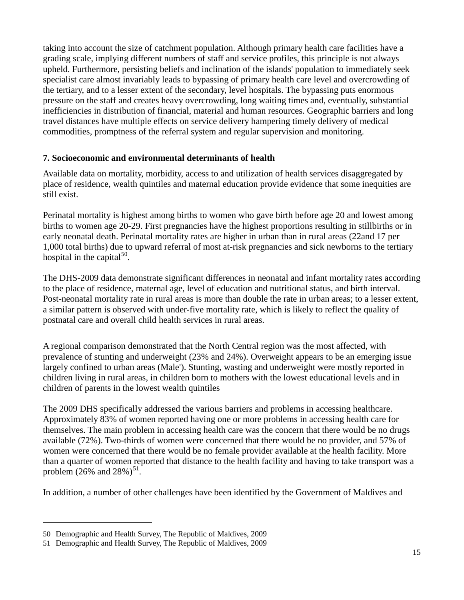taking into account the size of catchment population. Although primary health care facilities have a grading scale, implying different numbers of staff and service profiles, this principle is not always upheld. Furthermore, persisting beliefs and inclination of the islands' population to immediately seek specialist care almost invariably leads to bypassing of primary health care level and overcrowding of the tertiary, and to a lesser extent of the secondary, level hospitals. The bypassing puts enormous pressure on the staff and creates heavy overcrowding, long waiting times and, eventually, substantial inefficiencies in distribution of financial, material and human resources. Geographic barriers and long travel distances have multiple effects on service delivery hampering timely delivery of medical commodities, promptness of the referral system and regular supervision and monitoring.

## **7. Socioeconomic and environmental determinants of health**

Available data on mortality, morbidity, access to and utilization of health services disaggregated by place of residence, wealth quintiles and maternal education provide evidence that some inequities are still exist.

Perinatal mortality is highest among births to women who gave birth before age 20 and lowest among births to women age 20-29. First pregnancies have the highest proportions resulting in stillbirths or in early neonatal death. Perinatal mortality rates are higher in urban than in rural areas (22and 17 per 1,000 total births) due to upward referral of most at-risk pregnancies and sick newborns to the tertiary hospital in the capital $^{50}$  $^{50}$  $^{50}$ .

The DHS-2009 data demonstrate significant differences in neonatal and infant mortality rates according to the place of residence, maternal age, level of education and nutritional status, and birth interval. Post-neonatal mortality rate in rural areas is more than double the rate in urban areas; to a lesser extent, a similar pattern is observed with under-five mortality rate, which is likely to reflect the quality of postnatal care and overall child health services in rural areas.

A regional comparison demonstrated that the North Central region was the most affected, with prevalence of stunting and underweight (23% and 24%). Overweight appears to be an emerging issue largely confined to urban areas (Male'). Stunting, wasting and underweight were mostly reported in children living in rural areas, in children born to mothers with the lowest educational levels and in children of parents in the lowest wealth quintiles

The 2009 DHS specifically addressed the various barriers and problems in accessing healthcare. Approximately 83% of women reported having one or more problems in accessing health care for themselves. The main problem in accessing health care was the concern that there would be no drugs available (72%). Two-thirds of women were concerned that there would be no provider, and 57% of women were concerned that there would be no female provider available at the health facility. More than a quarter of women reported that distance to the health facility and having to take transport was a problem  $(26\% \text{ and } 28\%)^{51}$ .

In addition, a number of other challenges have been identified by the Government of Maldives and

<span id="page-14-0"></span><sup>50</sup> Demographic and Health Survey, The Republic of Maldives, 2009

<span id="page-14-1"></span><sup>51</sup> Demographic and Health Survey, The Republic of Maldives, 2009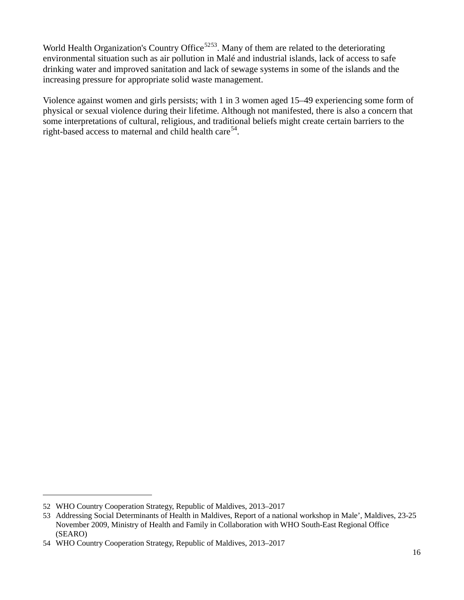World Health Organization's Country Office<sup>[52](#page-15-0)53</sup>. Many of them are related to the deteriorating environmental situation such as air pollution in Malé and industrial islands, lack of access to safe drinking water and improved sanitation and lack of sewage systems in some of the islands and the increasing pressure for appropriate solid waste management.

Violence against women and girls persists; with 1 in 3 women aged 15–49 experiencing some form of physical or sexual violence during their lifetime. Although not manifested, there is also a concern that some interpretations of cultural, religious, and traditional beliefs might create certain barriers to the right-based access to maternal and child health care<sup>54</sup>.

<span id="page-15-0"></span><sup>52</sup> WHO Country Cooperation Strategy, Republic of Maldives, 2013–2017

<span id="page-15-1"></span><sup>53</sup> Addressing Social Determinants of Health in Maldives, Report of a national workshop in Male', Maldives, 23-25 November 2009, Ministry of Health and Family in Collaboration with WHO South-East Regional Office (SEARO)

<span id="page-15-2"></span><sup>54</sup> WHO Country Cooperation Strategy, Republic of Maldives, 2013–2017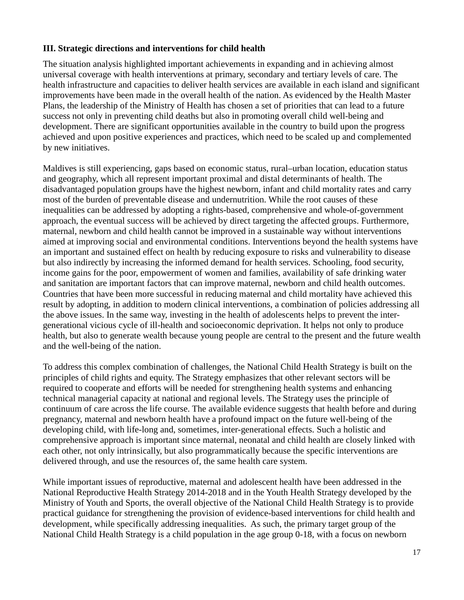## **III. Strategic directions and interventions for child health**

The situation analysis highlighted important achievements in expanding and in achieving almost universal coverage with health interventions at primary, secondary and tertiary levels of care. The health infrastructure and capacities to deliver health services are available in each island and significant improvements have been made in the overall health of the nation. As evidenced by the Health Master Plans, the leadership of the Ministry of Health has chosen a set of priorities that can lead to a future success not only in preventing child deaths but also in promoting overall child well-being and development. There are significant opportunities available in the country to build upon the progress achieved and upon positive experiences and practices, which need to be scaled up and complemented by new initiatives.

Maldives is still experiencing, gaps based on economic status, rural–urban location, education status and geography, which all represent important proximal and distal determinants of health. The disadvantaged population groups have the highest newborn, infant and child mortality rates and carry most of the burden of preventable disease and undernutrition. While the root causes of these inequalities can be addressed by adopting a rights-based, comprehensive and whole-of-government approach, the eventual success will be achieved by direct targeting the affected groups. Furthermore, maternal, newborn and child health cannot be improved in a sustainable way without interventions aimed at improving social and environmental conditions. Interventions beyond the health systems have an important and sustained effect on health by reducing exposure to risks and vulnerability to disease but also indirectly by increasing the informed demand for health services. Schooling, food security, income gains for the poor, empowerment of women and families, availability of safe drinking water and sanitation are important factors that can improve maternal, newborn and child health outcomes. Countries that have been more successful in reducing maternal and child mortality have achieved this result by adopting, in addition to modern clinical interventions, a combination of policies addressing all the above issues. In the same way, investing in the health of adolescents helps to prevent the intergenerational vicious cycle of ill-health and socioeconomic deprivation. It helps not only to produce health, but also to generate wealth because young people are central to the present and the future wealth and the well-being of the nation.

To address this complex combination of challenges, the National Child Health Strategy is built on the principles of child rights and equity. The Strategy emphasizes that other relevant sectors will be required to cooperate and efforts will be needed for strengthening health systems and enhancing technical managerial capacity at national and regional levels. The Strategy uses the principle of continuum of care across the life course. The available evidence suggests that health before and during pregnancy, maternal and newborn health have a profound impact on the future well-being of the developing child, with life-long and, sometimes, inter-generational effects. Such a holistic and comprehensive approach is important since maternal, neonatal and child health are closely linked with each other, not only intrinsically, but also programmatically because the specific interventions are delivered through, and use the resources of, the same health care system.

While important issues of reproductive, maternal and adolescent health have been addressed in the National Reproductive Health Strategy 2014-2018 and in the Youth Health Strategy developed by the Ministry of Youth and Sports, the overall objective of the National Child Health Strategy is to provide practical guidance for strengthening the provision of evidence-based interventions for child health and development, while specifically addressing inequalities. As such, the primary target group of the National Child Health Strategy is a child population in the age group 0-18, with a focus on newborn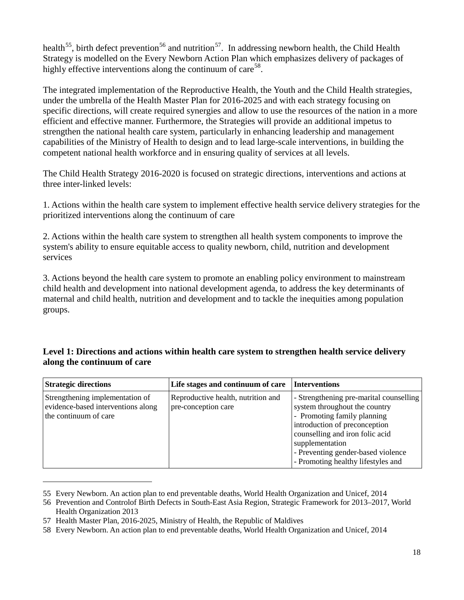health<sup>55</sup>, birth defect prevention<sup>[56](#page-17-1)</sup> and nutrition<sup>57</sup>. In addressing newborn health, the Child Health Strategy is modelled on the Every Newborn Action Plan which emphasizes delivery of packages of highly effective interventions along the continuum of care<sup>[58](#page-17-3)</sup>.

The integrated implementation of the Reproductive Health, the Youth and the Child Health strategies, under the umbrella of the Health Master Plan for 2016-2025 and with each strategy focusing on specific directions, will create required synergies and allow to use the resources of the nation in a more efficient and effective manner. Furthermore, the Strategies will provide an additional impetus to strengthen the national health care system, particularly in enhancing leadership and management capabilities of the Ministry of Health to design and to lead large-scale interventions, in building the competent national health workforce and in ensuring quality of services at all levels.

The Child Health Strategy 2016-2020 is focused on strategic directions, interventions and actions at three inter-linked levels:

1. Actions within the health care system to implement effective health service delivery strategies for the prioritized interventions along the continuum of care

2. Actions within the health care system to strengthen all health system components to improve the system's ability to ensure equitable access to quality newborn, child, nutrition and development services

3. Actions beyond the health care system to promote an enabling policy environment to mainstream child health and development into national development agenda, to address the key determinants of maternal and child health, nutrition and development and to tackle the inequities among population groups.

## **Level 1: Directions and actions within health care system to strengthen health service delivery along the continuum of care**

| <b>Strategic directions</b>                                                                    | Life stages and continuum of care                         | Interventions                                                                                                                                                                                                                                                              |
|------------------------------------------------------------------------------------------------|-----------------------------------------------------------|----------------------------------------------------------------------------------------------------------------------------------------------------------------------------------------------------------------------------------------------------------------------------|
| Strengthening implementation of<br>evidence-based interventions along<br>the continuum of care | Reproductive health, nutrition and<br>pre-conception care | - Strengthening pre-marital counselling<br>system throughout the country<br>- Promoting family planning<br>introduction of preconception<br>counselling and iron folic acid<br>supplementation<br>- Preventing gender-based violence<br>- Promoting healthy lifestyles and |

<span id="page-17-0"></span><sup>55</sup> Every Newborn. An action plan to end preventable deaths, World Health Organization and Unicef, 2014

<span id="page-17-1"></span><sup>56</sup> Prevention and Controlof Birth Defects in South-East Asia Region, Strategic Framework for 2013–2017, World Health Organization 2013

<span id="page-17-2"></span><sup>57</sup> Health Master Plan, 2016-2025, Ministry of Health, the Republic of Maldives

<span id="page-17-3"></span><sup>58</sup> Every Newborn. An action plan to end preventable deaths, World Health Organization and Unicef, 2014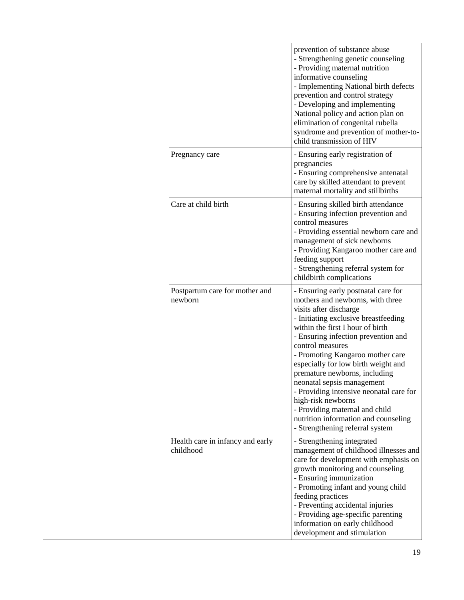|                                               | prevention of substance abuse<br>- Strengthening genetic counseling<br>- Providing maternal nutrition<br>informative counseling<br>- Implementing National birth defects<br>prevention and control strategy<br>- Developing and implementing<br>National policy and action plan on<br>elimination of congenital rubella<br>syndrome and prevention of mother-to-<br>child transmission of HIV                                                                                                                                                                    |
|-----------------------------------------------|------------------------------------------------------------------------------------------------------------------------------------------------------------------------------------------------------------------------------------------------------------------------------------------------------------------------------------------------------------------------------------------------------------------------------------------------------------------------------------------------------------------------------------------------------------------|
| Pregnancy care                                | - Ensuring early registration of<br>pregnancies<br>- Ensuring comprehensive antenatal<br>care by skilled attendant to prevent<br>maternal mortality and stillbirths                                                                                                                                                                                                                                                                                                                                                                                              |
| Care at child birth                           | - Ensuring skilled birth attendance<br>- Ensuring infection prevention and<br>control measures<br>- Providing essential newborn care and<br>management of sick newborns<br>- Providing Kangaroo mother care and<br>feeding support<br>- Strengthening referral system for<br>childbirth complications                                                                                                                                                                                                                                                            |
| Postpartum care for mother and<br>newborn     | - Ensuring early postnatal care for<br>mothers and newborns, with three<br>visits after discharge<br>- Initiating exclusive breastfeeding<br>within the first I hour of birth<br>- Ensuring infection prevention and<br>control measures<br>- Promoting Kangaroo mother care<br>especially for low birth weight and<br>premature newborns, including<br>neonatal sepsis management<br>- Providing intensive neonatal care for<br>high-risk newborns<br>- Providing maternal and child<br>nutrition information and counseling<br>- Strengthening referral system |
| Health care in infancy and early<br>childhood | - Strengthening integrated<br>management of childhood illnesses and<br>care for development with emphasis on<br>growth monitoring and counseling<br>- Ensuring immunization<br>- Promoting infant and young child<br>feeding practices<br>- Preventing accidental injuries<br>- Providing age-specific parenting<br>information on early childhood<br>development and stimulation                                                                                                                                                                                |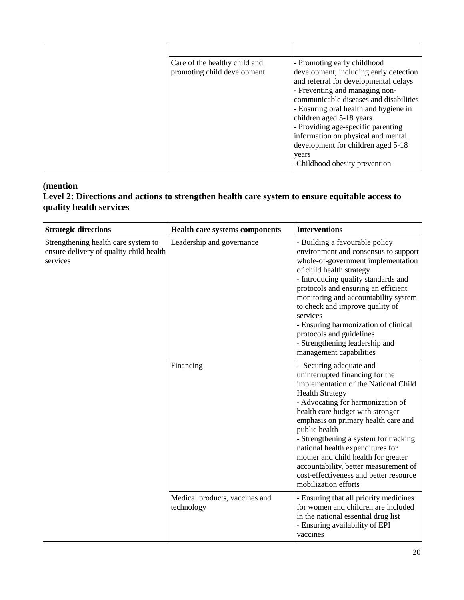| Care of the healthy child and<br>- Promoting early childhood<br>promoting child development<br>development, including early detection<br>and referral for developmental delays<br>- Preventing and managing non-<br>communicable diseases and disabilities<br>- Ensuring oral health and hygiene in<br>children aged 5-18 years<br>- Providing age-specific parenting<br>information on physical and mental<br>development for children aged 5-18<br>years<br>-Childhood obesity prevention |
|---------------------------------------------------------------------------------------------------------------------------------------------------------------------------------------------------------------------------------------------------------------------------------------------------------------------------------------------------------------------------------------------------------------------------------------------------------------------------------------------|

## **(mention**

## **Level 2: Directions and actions to strengthen health care system to ensure equitable access to quality health services**

| <b>Strategic directions</b><br><b>Interventions</b><br><b>Health care systems components</b> |                                              |                                                                                                                                                                                                                                                                                                                                                                                                                                                                                              |
|----------------------------------------------------------------------------------------------|----------------------------------------------|----------------------------------------------------------------------------------------------------------------------------------------------------------------------------------------------------------------------------------------------------------------------------------------------------------------------------------------------------------------------------------------------------------------------------------------------------------------------------------------------|
| Strengthening health care system to<br>ensure delivery of quality child health<br>services   | Leadership and governance                    | - Building a favourable policy<br>environment and consensus to support<br>whole-of-government implementation<br>of child health strategy<br>- Introducing quality standards and<br>protocols and ensuring an efficient<br>monitoring and accountability system<br>to check and improve quality of<br>services<br>- Ensuring harmonization of clinical<br>protocols and guidelines<br>- Strengthening leadership and<br>management capabilities                                               |
|                                                                                              | Financing                                    | - Securing adequate and<br>uninterrupted financing for the<br>implementation of the National Child<br><b>Health Strategy</b><br>- Advocating for harmonization of<br>health care budget with stronger<br>emphasis on primary health care and<br>public health<br>- Strengthening a system for tracking<br>national health expenditures for<br>mother and child health for greater<br>accountability, better measurement of<br>cost-effectiveness and better resource<br>mobilization efforts |
|                                                                                              | Medical products, vaccines and<br>technology | - Ensuring that all priority medicines<br>for women and children are included<br>in the national essential drug list<br>- Ensuring availability of EPI<br>vaccines                                                                                                                                                                                                                                                                                                                           |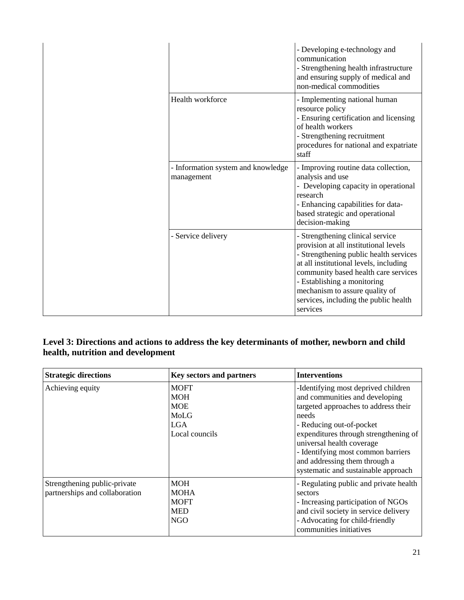|  |                                                  | - Developing e-technology and<br>communication<br>- Strengthening health infrastructure<br>and ensuring supply of medical and<br>non-medical commodities                                                                                                                                                                    |
|--|--------------------------------------------------|-----------------------------------------------------------------------------------------------------------------------------------------------------------------------------------------------------------------------------------------------------------------------------------------------------------------------------|
|  | Health workforce                                 | - Implementing national human<br>resource policy<br>- Ensuring certification and licensing<br>of health workers<br>- Strengthening recruitment<br>procedures for national and expatriate<br>staff                                                                                                                           |
|  | - Information system and knowledge<br>management | - Improving routine data collection,<br>analysis and use<br>- Developing capacity in operational<br>research<br>- Enhancing capabilities for data-<br>based strategic and operational<br>decision-making                                                                                                                    |
|  | - Service delivery                               | - Strengthening clinical service<br>provision at all institutional levels<br>- Strengthening public health services<br>at all institutional levels, including<br>community based health care services<br>- Establishing a monitoring<br>mechanism to assure quality of<br>services, including the public health<br>services |

## **Level 3: Directions and actions to address the key determinants of mother, newborn and child health, nutrition and development**

| <b>Strategic directions</b>                                    | <b>Key sectors and partners</b>                                          | <b>Interventions</b>                                                                                                                                                                                                                                                                                                                   |
|----------------------------------------------------------------|--------------------------------------------------------------------------|----------------------------------------------------------------------------------------------------------------------------------------------------------------------------------------------------------------------------------------------------------------------------------------------------------------------------------------|
| Achieving equity                                               | <b>MOFT</b><br><b>MOH</b><br><b>MOE</b><br>MoLG<br>LGA<br>Local councils | -Identifying most deprived children<br>and communities and developing<br>targeted approaches to address their<br>needs<br>- Reducing out-of-pocket<br>expenditures through strengthening of<br>universal health coverage<br>- Identifying most common barriers<br>and addressing them through a<br>systematic and sustainable approach |
| Strengthening public-private<br>partnerships and collaboration | <b>MOH</b><br><b>MOHA</b><br><b>MOFT</b><br><b>MED</b><br>NGO            | - Regulating public and private health<br>sectors<br>- Increasing participation of NGOs<br>and civil society in service delivery<br>- Advocating for child-friendly<br>communities initiatives                                                                                                                                         |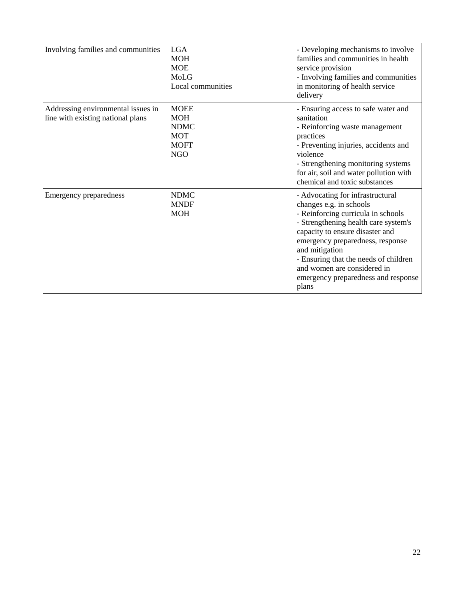| Involving families and communities                                      | <b>LGA</b><br><b>MOH</b><br><b>MOE</b><br>MoLG<br>Local communities                 | - Developing mechanisms to involve<br>families and communities in health<br>service provision<br>- Involving families and communities<br>in monitoring of health service<br>delivery                                                                                                                                                                       |
|-------------------------------------------------------------------------|-------------------------------------------------------------------------------------|------------------------------------------------------------------------------------------------------------------------------------------------------------------------------------------------------------------------------------------------------------------------------------------------------------------------------------------------------------|
| Addressing environmental issues in<br>line with existing national plans | <b>MOEE</b><br><b>MOH</b><br><b>NDMC</b><br><b>MOT</b><br><b>MOFT</b><br><b>NGO</b> | - Ensuring access to safe water and<br>sanitation<br>- Reinforcing waste management<br>practices<br>- Preventing injuries, accidents and<br>violence<br>- Strengthening monitoring systems<br>for air, soil and water pollution with<br>chemical and toxic substances                                                                                      |
| <b>Emergency preparedness</b>                                           | <b>NDMC</b><br><b>MNDF</b><br><b>MOH</b>                                            | - Advocating for infrastructural<br>changes e.g. in schools<br>- Reinforcing curricula in schools<br>- Strengthening health care system's<br>capacity to ensure disaster and<br>emergency preparedness, response<br>and mitigation<br>- Ensuring that the needs of children<br>and women are considered in<br>emergency preparedness and response<br>plans |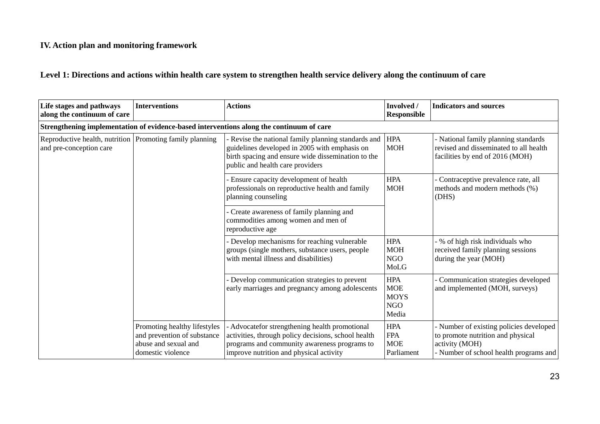## **IV. Action plan and monitoring framework**

## **Level 1: Directions and actions within health care system to strengthen health service delivery along the continuum of care**

| Life stages and pathways<br>along the continuum of care                             | <b>Interventions</b>                                                                                     | <b>Actions</b>                                                                                                                                                                                   | Involved /<br><b>Responsible</b>                               | <b>Indicators and sources</b>                                                                                                            |
|-------------------------------------------------------------------------------------|----------------------------------------------------------------------------------------------------------|--------------------------------------------------------------------------------------------------------------------------------------------------------------------------------------------------|----------------------------------------------------------------|------------------------------------------------------------------------------------------------------------------------------------------|
|                                                                                     |                                                                                                          | Strengthening implementation of evidence-based interventions along the continuum of care                                                                                                         |                                                                |                                                                                                                                          |
| Reproductive health, nutrition Promoting family planning<br>and pre-conception care |                                                                                                          | Revise the national family planning standards and<br>guidelines developed in 2005 with emphasis on<br>birth spacing and ensure wide dissemination to the<br>public and health care providers     | <b>HPA</b><br><b>MOH</b>                                       | - National family planning standards<br>revised and disseminated to all health<br>facilities by end of 2016 (MOH)                        |
|                                                                                     |                                                                                                          | - Ensure capacity development of health<br>professionals on reproductive health and family<br>planning counseling                                                                                | <b>HPA</b><br><b>MOH</b>                                       | - Contraceptive prevalence rate, all<br>methods and modern methods (%)<br>(DHS)                                                          |
|                                                                                     |                                                                                                          | - Create awareness of family planning and<br>commodities among women and men of<br>reproductive age                                                                                              |                                                                |                                                                                                                                          |
|                                                                                     |                                                                                                          | - Develop mechanisms for reaching vulnerable<br>groups (single mothers, substance users, people<br>with mental illness and disabilities)                                                         | <b>HPA</b><br><b>MOH</b><br><b>NGO</b><br>MoLG                 | - % of high risk individuals who<br>received family planning sessions<br>during the year (MOH)                                           |
|                                                                                     |                                                                                                          | Develop communication strategies to prevent<br>early marriages and pregnancy among adolescents                                                                                                   | <b>HPA</b><br><b>MOE</b><br><b>MOYS</b><br><b>NGO</b><br>Media | - Communication strategies developed<br>and implemented (MOH, surveys)                                                                   |
|                                                                                     | Promoting healthy lifestyles<br>and prevention of substance<br>abuse and sexual and<br>domestic violence | - Advocatefor strengthening health promotional<br>activities, through policy decisions, school health<br>programs and community awareness programs to<br>improve nutrition and physical activity | <b>HPA</b><br><b>FPA</b><br><b>MOE</b><br>Parliament           | - Number of existing policies developed<br>to promote nutrition and physical<br>activity (MOH)<br>- Number of school health programs and |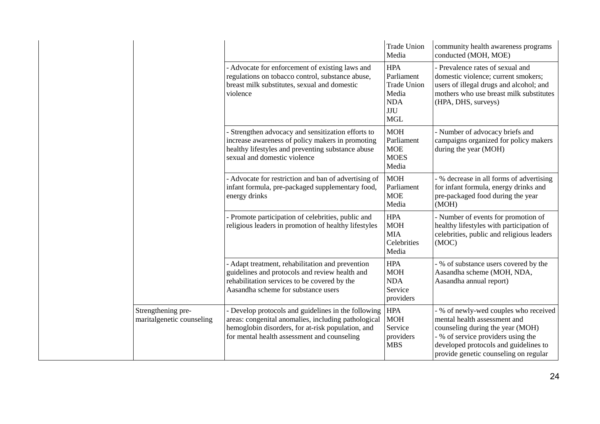|                                                 |                                                                                                                                                                                                                | <b>Trade Union</b><br>Media                                                                       | community health awareness programs<br>conducted (MOH, MOE)                                                                                                                                                                       |
|-------------------------------------------------|----------------------------------------------------------------------------------------------------------------------------------------------------------------------------------------------------------------|---------------------------------------------------------------------------------------------------|-----------------------------------------------------------------------------------------------------------------------------------------------------------------------------------------------------------------------------------|
|                                                 | - Advocate for enforcement of existing laws and<br>regulations on tobacco control, substance abuse,<br>breast milk substitutes, sexual and domestic<br>violence                                                | <b>HPA</b><br>Parliament<br><b>Trade Union</b><br>Media<br><b>NDA</b><br><b>JJU</b><br><b>MGL</b> | - Prevalence rates of sexual and<br>domestic violence; current smokers;<br>users of illegal drugs and alcohol; and<br>mothers who use breast milk substitutes<br>(HPA, DHS, surveys)                                              |
|                                                 | - Strengthen advocacy and sensitization efforts to<br>increase awareness of policy makers in promoting<br>healthy lifestyles and preventing substance abuse<br>sexual and domestic violence                    | <b>MOH</b><br>Parliament<br><b>MOE</b><br><b>MOES</b><br>Media                                    | - Number of advocacy briefs and<br>campaigns organized for policy makers<br>during the year (MOH)                                                                                                                                 |
|                                                 | - Advocate for restriction and ban of advertising of<br>infant formula, pre-packaged supplementary food,<br>energy drinks                                                                                      | <b>MOH</b><br>Parliament<br><b>MOE</b><br>Media                                                   | - % decrease in all forms of advertising<br>for infant formula, energy drinks and<br>pre-packaged food during the year<br>(MOH)                                                                                                   |
|                                                 | - Promote participation of celebrities, public and<br>religious leaders in promotion of healthy lifestyles                                                                                                     | <b>HPA</b><br><b>MOH</b><br><b>MIA</b><br>Celebrities<br>Media                                    | - Number of events for promotion of<br>healthy lifestyles with participation of<br>celebrities, public and religious leaders<br>(MOC)                                                                                             |
|                                                 | - Adapt treatment, rehabilitation and prevention<br>guidelines and protocols and review health and<br>rehabilitation services to be covered by the<br>Aasandha scheme for substance users                      | <b>HPA</b><br><b>MOH</b><br><b>NDA</b><br>Service<br>providers                                    | - % of substance users covered by the<br>Aasandha scheme (MOH, NDA,<br>Aasandha annual report)                                                                                                                                    |
| Strengthening pre-<br>maritalgenetic counseling | - Develop protocols and guidelines in the following<br>areas: congenital anomalies, including pathological<br>hemoglobin disorders, for at-risk population, and<br>for mental health assessment and counseling | <b>HPA</b><br><b>MOH</b><br>Service<br>providers<br><b>MBS</b>                                    | - % of newly-wed couples who received<br>mental health assessment and<br>counseling during the year (MOH)<br>- % of service providers using the<br>developed protocols and guidelines to<br>provide genetic counseling on regular |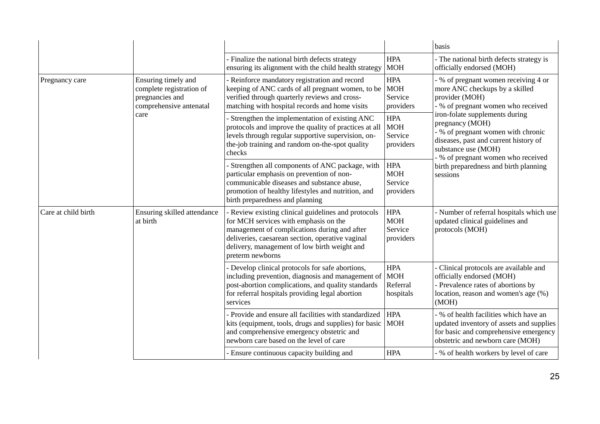|                     |                                                                                                       |                                                                                                                                                                                                                                                                    |                                                   | basis                                                                                                                                                                                                                                                                                                                                                                                |
|---------------------|-------------------------------------------------------------------------------------------------------|--------------------------------------------------------------------------------------------------------------------------------------------------------------------------------------------------------------------------------------------------------------------|---------------------------------------------------|--------------------------------------------------------------------------------------------------------------------------------------------------------------------------------------------------------------------------------------------------------------------------------------------------------------------------------------------------------------------------------------|
|                     |                                                                                                       | - Finalize the national birth defects strategy<br>ensuring its alignment with the child health strategy                                                                                                                                                            | <b>HPA</b><br><b>MOH</b>                          | - The national birth defects strategy is<br>officially endorsed (MOH)                                                                                                                                                                                                                                                                                                                |
| Pregnancy care      | Ensuring timely and<br>complete registration of<br>pregnancies and<br>comprehensive antenatal<br>care | - Reinforce mandatory registration and record<br>keeping of ANC cards of all pregnant women, to be<br>verified through quarterly reviews and cross-<br>matching with hospital records and home visits                                                              | <b>HPA</b><br><b>MOH</b><br>Service<br>providers  | - % of pregnant women receiving 4 or<br>more ANC checkups by a skilled<br>provider (MOH)<br>- % of pregnant women who received<br>iron-folate supplements during<br>pregnancy (MOH)<br>- % of pregnant women with chronic<br>diseases, past and current history of<br>substance use (MOH)<br>- % of pregnant women who received<br>birth preparedness and birth planning<br>sessions |
|                     |                                                                                                       | - Strengthen the implementation of existing ANC<br>protocols and improve the quality of practices at all<br>levels through regular supportive supervision, on-<br>the-job training and random on-the-spot quality<br>checks                                        | <b>HPA</b><br><b>MOH</b><br>Service<br>providers  |                                                                                                                                                                                                                                                                                                                                                                                      |
|                     |                                                                                                       | - Strengthen all components of ANC package, with<br>particular emphasis on prevention of non-<br>communicable diseases and substance abuse,<br>promotion of healthy lifestyles and nutrition, and<br>birth preparedness and planning                               | <b>HPA</b><br><b>MOH</b><br>Service<br>providers  |                                                                                                                                                                                                                                                                                                                                                                                      |
| Care at child birth | Ensuring skilled attendance<br>at birth                                                               | Review existing clinical guidelines and protocols<br>for MCH services with emphasis on the<br>management of complications during and after<br>deliveries, caesarean section, operative vaginal<br>delivery, management of low birth weight and<br>preterm newborns | <b>HPA</b><br><b>MOH</b><br>Service<br>providers  | - Number of referral hospitals which use<br>updated clinical guidelines and<br>protocols (MOH)                                                                                                                                                                                                                                                                                       |
|                     |                                                                                                       | - Develop clinical protocols for safe abortions,<br>including prevention, diagnosis and management of<br>post-abortion complications, and quality standards<br>for referral hospitals providing legal abortion<br>services                                         | <b>HPA</b><br><b>MOH</b><br>Referral<br>hospitals | - Clinical protocols are available and<br>officially endorsed (MOH)<br>- Prevalence rates of abortions by<br>location, reason and women's age (%)<br>(MOH)                                                                                                                                                                                                                           |
|                     |                                                                                                       | - Provide and ensure all facilities with standardized<br>kits (equipment, tools, drugs and supplies) for basic MOH<br>and comprehensive emergency obstetric and<br>newborn care based on the level of care                                                         | <b>HPA</b>                                        | - % of health facilities which have an<br>updated inventory of assets and supplies<br>for basic and comprehensive emergency<br>obstetric and newborn care (MOH)                                                                                                                                                                                                                      |
|                     |                                                                                                       | - Ensure continuous capacity building and                                                                                                                                                                                                                          | <b>HPA</b>                                        | - % of health workers by level of care                                                                                                                                                                                                                                                                                                                                               |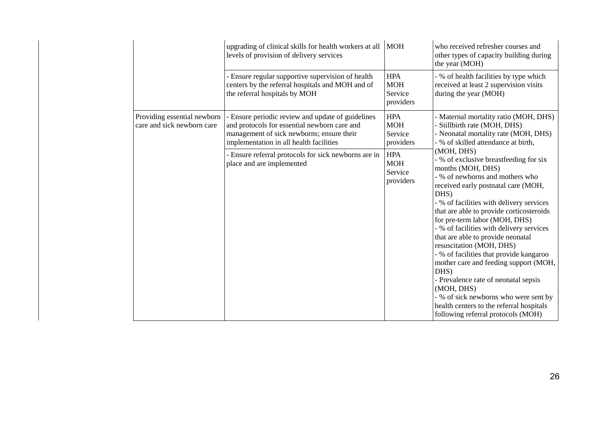|                                                           | upgrading of clinical skills for health workers at all<br>levels of provision of delivery services                                                                                        | <b>MOH</b>                                       | who received refresher courses and<br>other types of capacity building during<br>the year (MOH)                                                                                                                                                                                                                                                                                                                                                                                                                                                                                                                                                                                |
|-----------------------------------------------------------|-------------------------------------------------------------------------------------------------------------------------------------------------------------------------------------------|--------------------------------------------------|--------------------------------------------------------------------------------------------------------------------------------------------------------------------------------------------------------------------------------------------------------------------------------------------------------------------------------------------------------------------------------------------------------------------------------------------------------------------------------------------------------------------------------------------------------------------------------------------------------------------------------------------------------------------------------|
|                                                           | - Ensure regular supportive supervision of health<br>centers by the referral hospitals and MOH and of<br>the referral hospitals by MOH                                                    | <b>HPA</b><br><b>MOH</b><br>Service<br>providers | - % of health facilities by type which<br>received at least 2 supervision visits<br>during the year (MOH)                                                                                                                                                                                                                                                                                                                                                                                                                                                                                                                                                                      |
| Providing essential newborn<br>care and sick newborn care | - Ensure periodic review and update of guidelines<br>and protocols for essential newborn care and<br>management of sick newborns; ensure their<br>implementation in all health facilities | <b>HPA</b><br><b>MOH</b><br>Service<br>providers | - Maternal mortality ratio (MOH, DHS)<br>- Stillbirth rate (MOH, DHS)<br>- Neonatal mortality rate (MOH, DHS)<br>- % of skilled attendance at birth,                                                                                                                                                                                                                                                                                                                                                                                                                                                                                                                           |
|                                                           | - Ensure referral protocols for sick newborns are in<br>place and are implemented                                                                                                         | <b>HPA</b><br><b>MOH</b><br>Service<br>providers | (MOH, DHS)<br>- % of exclusive breastfeeding for six<br>months (MOH, DHS)<br>- % of newborns and mothers who<br>received early postnatal care (MOH,<br>DHS)<br>- % of facilities with delivery services<br>that are able to provide corticosteroids<br>for pre-term labor (MOH, DHS)<br>- % of facilities with delivery services<br>that are able to provide neonatal<br>resuscitation (MOH, DHS)<br>- % of facilities that provide kangaroo<br>mother care and feeding support (MOH,<br>DHS)<br>- Prevalence rate of neonatal sepsis<br>(MOH, DHS)<br>- % of sick newborns who were sent by<br>health centers to the referral hospitals<br>following referral protocols (MOH) |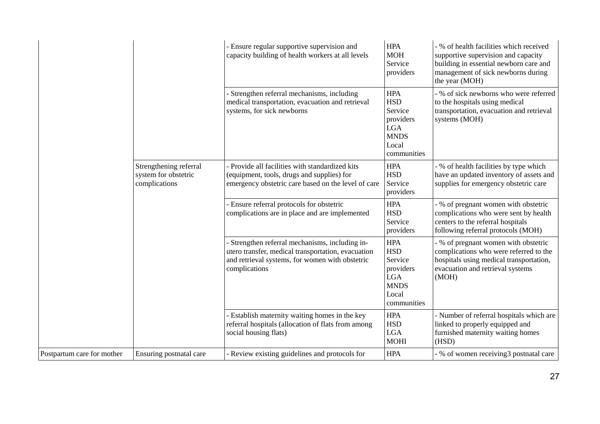|                            |                                                                 | - Ensure regular supportive supervision and<br>capacity building of health workers at all levels                                                                          | <b>HPA</b><br><b>MOH</b><br>Service<br>providers                                                      | - % of health facilities which received<br>supportive supervision and capacity<br>building in essential newborn care and<br>management of sick newborns during<br>the year (MOH) |
|----------------------------|-----------------------------------------------------------------|---------------------------------------------------------------------------------------------------------------------------------------------------------------------------|-------------------------------------------------------------------------------------------------------|----------------------------------------------------------------------------------------------------------------------------------------------------------------------------------|
|                            |                                                                 | - Strengthen referral mechanisms, including<br>medical transportation, evacuation and retrieval<br>systems, for sick newborns                                             | <b>HPA</b><br><b>HSD</b><br>Service<br>providers<br><b>LGA</b><br><b>MNDS</b><br>Local<br>communities | - % of sick newborns who were referred<br>to the hospitals using medical<br>transportation, evacuation and retrieval<br>systems (MOH)                                            |
|                            | Strengthening referral<br>system for obstetric<br>complications | - Provide all facilities with standardized kits<br>(equipment, tools, drugs and supplies) for<br>emergency obstetric care based on the level of care                      | <b>HPA</b><br><b>HSD</b><br>Service<br>providers                                                      | - % of health facilities by type which<br>have an updated inventory of assets and<br>supplies for emergency obstetric care                                                       |
|                            |                                                                 | - Ensure referral protocols for obstetric<br>complications are in place and are implemented                                                                               | <b>HPA</b><br><b>HSD</b><br>Service<br>providers                                                      | - % of pregnant women with obstetric<br>complications who were sent by health<br>centers to the referral hospitals<br>following referral protocols (MOH)                         |
|                            |                                                                 | - Strengthen referral mechanisms, including in-<br>utero transfer, medical transportation, evacuation<br>and retrieval systems, for women with obstetric<br>complications | <b>HPA</b><br><b>HSD</b><br>Service<br>providers<br><b>LGA</b><br><b>MNDS</b><br>Local<br>communities | - % of pregnant women with obstetric<br>complications who were referred to the<br>hospitals using medical transportation,<br>evacuation and retrieval systems<br>(MOH)           |
|                            |                                                                 | - Establish maternity waiting homes in the key<br>referral hospitals (allocation of flats from among<br>social housing flats)                                             | <b>HPA</b><br><b>HSD</b><br><b>LGA</b><br><b>MOHI</b>                                                 | - Number of referral hospitals which are<br>linked to properly equipped and<br>furnished maternity waiting homes<br>(HSD)                                                        |
| Postpartum care for mother | Ensuring postnatal care                                         | - Review existing guidelines and protocols for                                                                                                                            | <b>HPA</b>                                                                                            | - % of women receiving3 postnatal care                                                                                                                                           |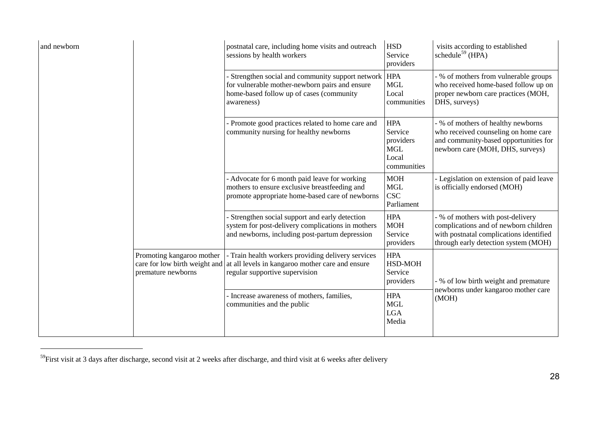<span id="page-27-0"></span>

| and newborn |                                                 | postnatal care, including home visits and outreach<br>sessions by health workers                                                                                       | <b>HSD</b><br>Service<br>providers                                       | visits according to established<br>schedule <sup>59</sup> (HPA)                                                                                               |
|-------------|-------------------------------------------------|------------------------------------------------------------------------------------------------------------------------------------------------------------------------|--------------------------------------------------------------------------|---------------------------------------------------------------------------------------------------------------------------------------------------------------|
|             |                                                 | - Strengthen social and community support network   HPA<br>for vulnerable mother-newborn pairs and ensure<br>home-based follow up of cases (community<br>awareness)    | <b>MGL</b><br>Local<br>communities                                       | - % of mothers from vulnerable groups<br>who received home-based follow up on<br>proper newborn care practices (MOH,<br>DHS, surveys)                         |
|             |                                                 | - Promote good practices related to home care and<br>community nursing for healthy newborns                                                                            | <b>HPA</b><br>Service<br>providers<br><b>MGL</b><br>Local<br>communities | - % of mothers of healthy newborns<br>who received counseling on home care<br>and community-based opportunities for<br>newborn care (MOH, DHS, surveys)       |
|             |                                                 | - Advocate for 6 month paid leave for working<br>mothers to ensure exclusive breastfeeding and<br>promote appropriate home-based care of newborns                      | <b>MOH</b><br><b>MGL</b><br><b>CSC</b><br>Parliament                     | - Legislation on extension of paid leave<br>is officially endorsed (MOH)                                                                                      |
|             |                                                 | - Strengthen social support and early detection<br>system for post-delivery complications in mothers<br>and newborns, including post-partum depression                 | <b>HPA</b><br>$\operatorname{MOH}$<br>Service<br>providers               | - % of mothers with post-delivery<br>complications and of newborn children<br>with postnatal complications identified<br>through early detection system (MOH) |
|             | Promoting kangaroo mother<br>premature newborns | - Train health workers providing delivery services<br>care for low birth weight and at all levels in kangaroo mother care and ensure<br>regular supportive supervision | <b>HPA</b><br>HSD-MOH<br>Service<br>providers                            | - % of low birth weight and premature                                                                                                                         |
|             |                                                 | - Increase awareness of mothers, families,<br>communities and the public                                                                                               | <b>HPA</b><br><b>MGL</b><br><b>LGA</b><br>Media                          | newborns under kangaroo mother care<br>(MOH)                                                                                                                  |

 $59$ First visit at 3 days after discharge, second visit at 2 weeks after discharge, and third visit at 6 weeks after delivery

 $\mathbb{R}$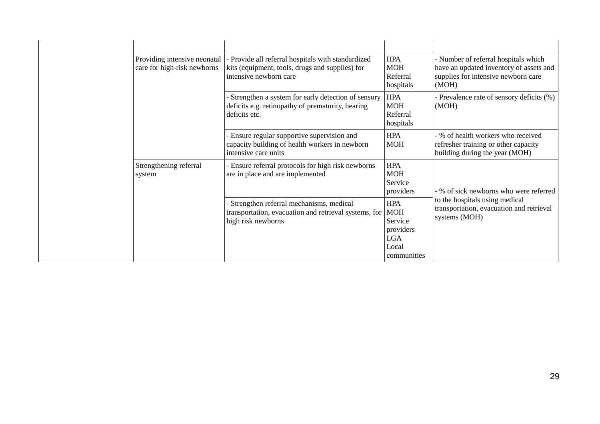| Providing intensive neonatal<br>care for high-risk newborns | - Provide all referral hospitals with standardized<br>kits (equipment, tools, drugs and supplies) for<br>intensive newborn care | <b>HPA</b><br><b>MOH</b><br>Referral<br>hospitals                                      | - Number of referral hospitals which<br>have an updated inventory of assets and<br>supplies for intensive newborn care<br>(MOH) |
|-------------------------------------------------------------|---------------------------------------------------------------------------------------------------------------------------------|----------------------------------------------------------------------------------------|---------------------------------------------------------------------------------------------------------------------------------|
|                                                             | Strengthen a system for early detection of sensory<br>deficits e.g. retinopathy of prematurity, hearing<br>deficits etc.        | <b>HPA</b><br><b>MOH</b><br>Referral<br>hospitals                                      | - Prevalence rate of sensory deficits (%)<br>(MOH)                                                                              |
|                                                             | - Ensure regular supportive supervision and<br>capacity building of health workers in newborn<br>intensive care units           | <b>HPA</b><br><b>MOH</b>                                                               | - % of health workers who received<br>refresher training or other capacity<br>building during the year (MOH)                    |
| Strengthening referral<br>system                            | - Ensure referral protocols for high risk newborns<br>are in place and are implemented                                          | <b>HPA</b><br><b>MOH</b><br>Service<br>providers                                       | - % of sick newborns who were referred                                                                                          |
|                                                             | Strengthen referral mechanisms, medical<br>transportation, evacuation and retrieval systems, for<br>high risk newborns          | <b>HPA</b><br><b>MOH</b><br>Service<br>providers<br><b>LGA</b><br>Local<br>communities | to the hospitals using medical<br>transportation, evacuation and retrieval<br>systems (MOH)                                     |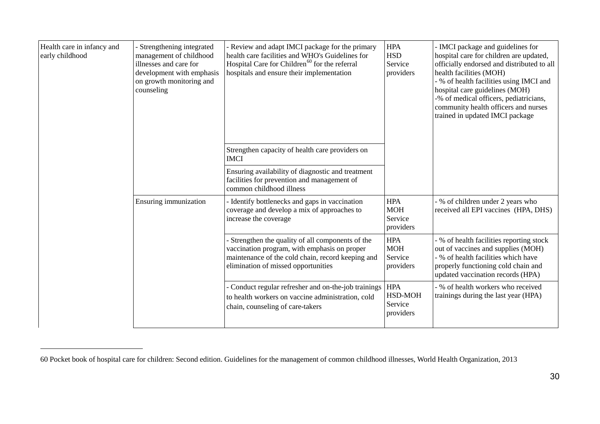<span id="page-29-0"></span>

| Health care in infancy and<br>early childhood | Strengthening integrated<br>management of childhood<br>illnesses and care for<br>development with emphasis<br>on growth monitoring and<br>counseling | - Review and adapt IMCI package for the primary<br>health care facilities and WHO's Guidelines for<br>Hospital Care for Children <sup>60</sup> for the referral<br>hospitals and ensure their implementation | <b>HPA</b><br><b>HSD</b><br>Service<br>providers | - IMCI package and guidelines for<br>hospital care for children are updated,<br>officially endorsed and distributed to all<br>health facilities (MOH)<br>- % of health facilities using IMCI and<br>hospital care guidelines (MOH)<br>-% of medical officers, pediatricians,<br>community health officers and nurses<br>trained in updated IMCI package |
|-----------------------------------------------|------------------------------------------------------------------------------------------------------------------------------------------------------|--------------------------------------------------------------------------------------------------------------------------------------------------------------------------------------------------------------|--------------------------------------------------|---------------------------------------------------------------------------------------------------------------------------------------------------------------------------------------------------------------------------------------------------------------------------------------------------------------------------------------------------------|
|                                               |                                                                                                                                                      | Strengthen capacity of health care providers on<br><b>IMCI</b>                                                                                                                                               |                                                  |                                                                                                                                                                                                                                                                                                                                                         |
|                                               |                                                                                                                                                      | Ensuring availability of diagnostic and treatment<br>facilities for prevention and management of<br>common childhood illness                                                                                 |                                                  |                                                                                                                                                                                                                                                                                                                                                         |
|                                               | Ensuring immunization                                                                                                                                | - Identify bottlenecks and gaps in vaccination<br>coverage and develop a mix of approaches to<br>increase the coverage                                                                                       | <b>HPA</b><br><b>MOH</b><br>Service<br>providers | - % of children under 2 years who<br>received all EPI vaccines (HPA, DHS)                                                                                                                                                                                                                                                                               |
|                                               |                                                                                                                                                      | - Strengthen the quality of all components of the<br>vaccination program, with emphasis on proper<br>maintenance of the cold chain, record keeping and<br>elimination of missed opportunities                | <b>HPA</b><br><b>MOH</b><br>Service<br>providers | - % of health facilities reporting stock<br>out of vaccines and supplies (MOH)<br>- % of health facilities which have<br>properly functioning cold chain and<br>updated vaccination records (HPA)                                                                                                                                                       |
|                                               |                                                                                                                                                      | Conduct regular refresher and on-the-job trainings<br>to health workers on vaccine administration, cold<br>chain, counseling of care-takers                                                                  | <b>HPA</b><br>HSD-MOH<br>Service<br>providers    | - % of health workers who received<br>trainings during the last year (HPA)                                                                                                                                                                                                                                                                              |

<sup>60</sup> Pocket book of hospital care for children: Second edition. Guidelines for the management of common childhood illnesses, World Health Organization, 2013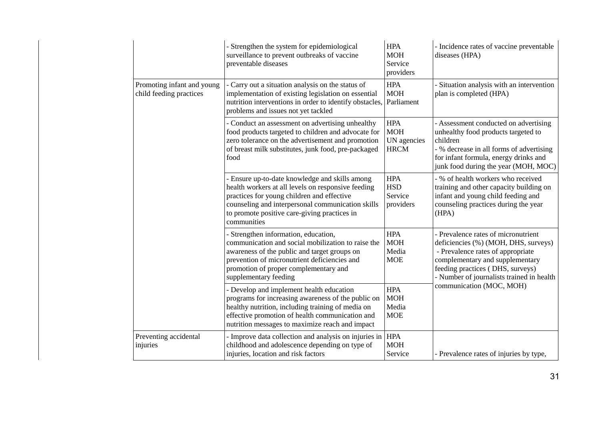|                                                       | - Strengthen the system for epidemiological<br>surveillance to prevent outbreaks of vaccine<br>preventable diseases                                                                                                                                                    | <b>HPA</b><br><b>MOH</b><br>Service<br>providers       | - Incidence rates of vaccine preventable<br>diseases (HPA)                                                                                                                                                                           |
|-------------------------------------------------------|------------------------------------------------------------------------------------------------------------------------------------------------------------------------------------------------------------------------------------------------------------------------|--------------------------------------------------------|--------------------------------------------------------------------------------------------------------------------------------------------------------------------------------------------------------------------------------------|
| Promoting infant and young<br>child feeding practices | - Carry out a situation analysis on the status of<br>implementation of existing legislation on essential<br>nutrition interventions in order to identify obstacles,<br>problems and issues not yet tackled                                                             | <b>HPA</b><br><b>MOH</b><br>Parliament                 | - Situation analysis with an intervention<br>plan is completed (HPA)                                                                                                                                                                 |
|                                                       | - Conduct an assessment on advertising unhealthy<br>food products targeted to children and advocate for<br>zero tolerance on the advertisement and promotion<br>of breast milk substitutes, junk food, pre-packaged<br>food                                            | <b>HPA</b><br><b>MOH</b><br>UN agencies<br><b>HRCM</b> | - Assessment conducted on advertising<br>unhealthy food products targeted to<br>children<br>- % decrease in all forms of advertising<br>for infant formula, energy drinks and<br>junk food during the year (MOH, MOC)                |
|                                                       | - Ensure up-to-date knowledge and skills among<br>health workers at all levels on responsive feeding<br>practices for young children and effective<br>counseling and interpersonal communication skills<br>to promote positive care-giving practices in<br>communities | <b>HPA</b><br><b>HSD</b><br>Service<br>providers       | - % of health workers who received<br>training and other capacity building on<br>infant and young child feeding and<br>counseling practices during the year<br>(HPA)                                                                 |
|                                                       | - Strengthen information, education,<br>communication and social mobilization to raise the<br>awareness of the public and target groups on<br>prevention of micronutrient deficiencies and<br>promotion of proper complementary and<br>supplementary feeding           | <b>HPA</b><br><b>MOH</b><br>Media<br><b>MOE</b>        | - Prevalence rates of micronutrient<br>deficiencies (%) (MOH, DHS, surveys)<br>- Prevalence rates of appropriate<br>complementary and supplementary<br>feeding practices (DHS, surveys)<br>- Number of journalists trained in health |
|                                                       | - Develop and implement health education<br>programs for increasing awareness of the public on<br>healthy nutrition, including training of media on<br>effective promotion of health communication and<br>nutrition messages to maximize reach and impact              | <b>HPA</b><br><b>MOH</b><br>Media<br><b>MOE</b>        | communication (MOC, MOH)                                                                                                                                                                                                             |
| Preventing accidental<br>injuries                     | - Improve data collection and analysis on injuries in HPA<br>childhood and adolescence depending on type of<br>injuries, location and risk factors                                                                                                                     | <b>MOH</b><br>Service                                  | - Prevalence rates of injuries by type,                                                                                                                                                                                              |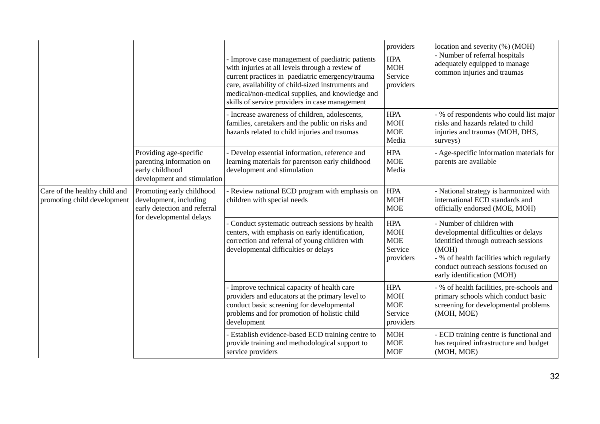|                                                              |                                                                                                                 | - Improve case management of paediatric patients<br>with injuries at all levels through a review of<br>current practices in paediatric emergency/trauma<br>care, availability of child-sized instruments and<br>medical/non-medical supplies, and knowledge and<br>skills of service providers in case management | providers<br><b>HPA</b><br><b>MOH</b><br>Service<br>providers  | location and severity (%) (MOH)<br>- Number of referral hospitals<br>adequately equipped to manage<br>common injuries and traumas                                                                                                    |
|--------------------------------------------------------------|-----------------------------------------------------------------------------------------------------------------|-------------------------------------------------------------------------------------------------------------------------------------------------------------------------------------------------------------------------------------------------------------------------------------------------------------------|----------------------------------------------------------------|--------------------------------------------------------------------------------------------------------------------------------------------------------------------------------------------------------------------------------------|
|                                                              |                                                                                                                 | - Increase awareness of children, adolescents,<br>families, caretakers and the public on risks and<br>hazards related to child injuries and traumas                                                                                                                                                               | <b>HPA</b><br><b>MOH</b><br><b>MOE</b><br>Media                | - % of respondents who could list major<br>risks and hazards related to child<br>injuries and traumas (MOH, DHS,<br>surveys)                                                                                                         |
|                                                              | Providing age-specific<br>parenting information on<br>early childhood<br>development and stimulation            | - Develop essential information, reference and<br>learning materials for parentson early childhood<br>development and stimulation                                                                                                                                                                                 | <b>HPA</b><br><b>MOE</b><br>Media                              | - Age-specific information materials for<br>parents are available                                                                                                                                                                    |
| Care of the healthy child and<br>promoting child development | Promoting early childhood<br>development, including<br>early detection and referral<br>for developmental delays | - Review national ECD program with emphasis on<br>children with special needs                                                                                                                                                                                                                                     | <b>HPA</b><br><b>MOH</b><br><b>MOE</b>                         | - National strategy is harmonized with<br>international ECD standards and<br>officially endorsed (MOE, MOH)                                                                                                                          |
|                                                              |                                                                                                                 | - Conduct systematic outreach sessions by health<br>centers, with emphasis on early identification,<br>correction and referral of young children with<br>developmental difficulties or delays                                                                                                                     | <b>HPA</b><br><b>MOH</b><br><b>MOE</b><br>Service<br>providers | - Number of children with<br>developmental difficulties or delays<br>identified through outreach sessions<br>(MOH)<br>- % of health facilities which regularly<br>conduct outreach sessions focused on<br>early identification (MOH) |
|                                                              |                                                                                                                 | - Improve technical capacity of health care<br>providers and educators at the primary level to<br>conduct basic screening for developmental<br>problems and for promotion of holistic child<br>development                                                                                                        | <b>HPA</b><br><b>MOH</b><br><b>MOE</b><br>Service<br>providers | - % of health facilities, pre-schools and<br>primary schools which conduct basic<br>screening for developmental problems<br>(MOH, MOE)                                                                                               |
|                                                              |                                                                                                                 | - Establish evidence-based ECD training centre to<br>provide training and methodological support to<br>service providers                                                                                                                                                                                          | <b>MOH</b><br><b>MOE</b><br><b>MOF</b>                         | - ECD training centre is functional and<br>has required infrastructure and budget<br>(MOH, MOE)                                                                                                                                      |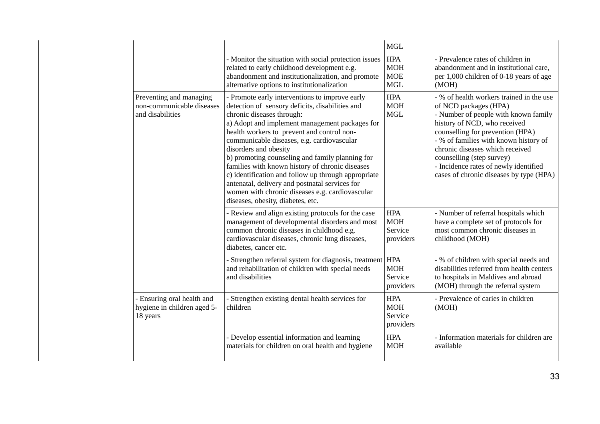|                                                                          |                                                                                                                                                                                                                                                                                                                                                                                                                                                                                                                                                                                                              | <b>MGL</b>                                           |                                                                                                                                                                                                                                                                                                                                                                            |
|--------------------------------------------------------------------------|--------------------------------------------------------------------------------------------------------------------------------------------------------------------------------------------------------------------------------------------------------------------------------------------------------------------------------------------------------------------------------------------------------------------------------------------------------------------------------------------------------------------------------------------------------------------------------------------------------------|------------------------------------------------------|----------------------------------------------------------------------------------------------------------------------------------------------------------------------------------------------------------------------------------------------------------------------------------------------------------------------------------------------------------------------------|
|                                                                          | - Monitor the situation with social protection issues<br>related to early childhood development e.g.<br>abandonment and institutionalization, and promote<br>alternative options to institutionalization                                                                                                                                                                                                                                                                                                                                                                                                     | <b>HPA</b><br><b>MOH</b><br><b>MOE</b><br><b>MGL</b> | - Prevalence rates of children in<br>abandonment and in institutional care,<br>per 1,000 children of 0-18 years of age<br>(MOH)                                                                                                                                                                                                                                            |
| Preventing and managing<br>non-communicable diseases<br>and disabilities | - Promote early interventions to improve early<br>detection of sensory deficits, disabilities and<br>chronic diseases through:<br>a) Adopt and implement management packages for<br>health workers to prevent and control non-<br>communicable diseases, e.g. cardiovascular<br>disorders and obesity<br>b) promoting counseling and family planning for<br>families with known history of chronic diseases<br>c) identification and follow up through appropriate<br>antenatal, delivery and postnatal services for<br>women with chronic diseases e.g. cardiovascular<br>diseases, obesity, diabetes, etc. | <b>HPA</b><br><b>MOH</b><br><b>MGL</b>               | - % of health workers trained in the use<br>of NCD packages (HPA)<br>- Number of people with known family<br>history of NCD, who received<br>counselling for prevention (HPA)<br>- % of families with known history of<br>chronic diseases which received<br>counselling (step survey)<br>- Incidence rates of newly identified<br>cases of chronic diseases by type (HPA) |
|                                                                          | - Review and align existing protocols for the case<br>management of developmental disorders and most<br>common chronic diseases in childhood e.g.<br>cardiovascular diseases, chronic lung diseases,<br>diabetes, cancer etc.                                                                                                                                                                                                                                                                                                                                                                                | <b>HPA</b><br><b>MOH</b><br>Service<br>providers     | - Number of referral hospitals which<br>have a complete set of protocols for<br>most common chronic diseases in<br>childhood (MOH)                                                                                                                                                                                                                                         |
|                                                                          | - Strengthen referral system for diagnosis, treatment<br>and rehabilitation of children with special needs<br>and disabilities                                                                                                                                                                                                                                                                                                                                                                                                                                                                               | <b>HPA</b><br><b>MOH</b><br>Service<br>providers     | - % of children with special needs and<br>disabilities referred from health centers<br>to hospitals in Maldives and abroad<br>(MOH) through the referral system                                                                                                                                                                                                            |
| - Ensuring oral health and<br>hygiene in children aged 5-<br>18 years    | - Strengthen existing dental health services for<br>children                                                                                                                                                                                                                                                                                                                                                                                                                                                                                                                                                 | <b>HPA</b><br><b>MOH</b><br>Service<br>providers     | - Prevalence of caries in children<br>(MOH)                                                                                                                                                                                                                                                                                                                                |
|                                                                          | - Develop essential information and learning<br>materials for children on oral health and hygiene                                                                                                                                                                                                                                                                                                                                                                                                                                                                                                            | <b>HPA</b><br><b>MOH</b>                             | - Information materials for children are<br>available                                                                                                                                                                                                                                                                                                                      |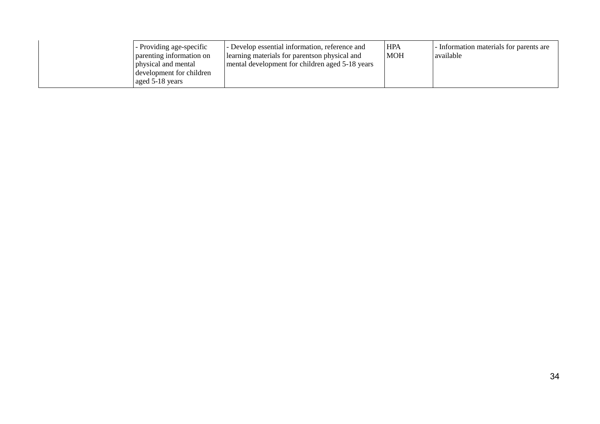|  | - Providing age-specific<br>parenting information on<br>physical and mental<br>development for children<br>aged 5-18 years | - Develop essential information, reference and<br>elearning materials for parents on physical and<br>mental development for children aged 5-18 years | <b>HPA</b><br><b>MOH</b> | - Information materials for parents are<br>available |
|--|----------------------------------------------------------------------------------------------------------------------------|------------------------------------------------------------------------------------------------------------------------------------------------------|--------------------------|------------------------------------------------------|
|--|----------------------------------------------------------------------------------------------------------------------------|------------------------------------------------------------------------------------------------------------------------------------------------------|--------------------------|------------------------------------------------------|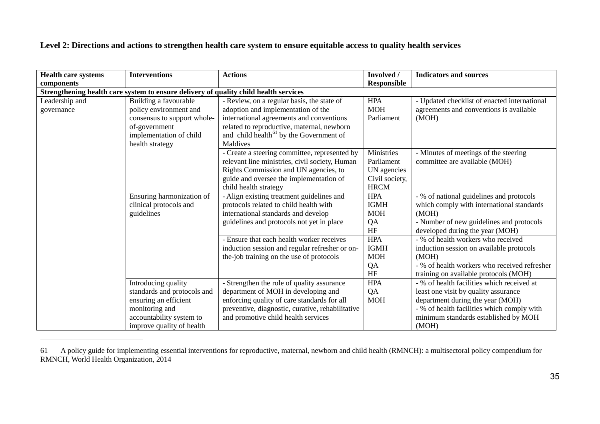## <span id="page-34-0"></span>**Level 2: Directions and actions to strengthen health care system to ensure equitable access to quality health services**

| <b>Health care systems</b>   | <b>Interventions</b>                                                                                                                                   | <b>Actions</b>                                                                                                                                                                                                                                | Involved /                                                               | <b>Indicators and sources</b>                                                                                                                                                                                         |
|------------------------------|--------------------------------------------------------------------------------------------------------------------------------------------------------|-----------------------------------------------------------------------------------------------------------------------------------------------------------------------------------------------------------------------------------------------|--------------------------------------------------------------------------|-----------------------------------------------------------------------------------------------------------------------------------------------------------------------------------------------------------------------|
| components                   |                                                                                                                                                        |                                                                                                                                                                                                                                               | <b>Responsible</b>                                                       |                                                                                                                                                                                                                       |
|                              | Strengthening health care system to ensure delivery of quality child health services                                                                   |                                                                                                                                                                                                                                               |                                                                          |                                                                                                                                                                                                                       |
| Leadership and<br>governance | Building a favourable<br>policy environment and<br>consensus to support whole-<br>of-government<br>implementation of child<br>health strategy          | - Review, on a regular basis, the state of<br>adoption and implementation of the<br>international agreements and conventions<br>related to reproductive, maternal, newborn<br>and child health <sup>61</sup> by the Government of<br>Maldives | <b>HPA</b><br><b>MOH</b><br>Parliament                                   | - Updated checklist of enacted international<br>agreements and conventions is available<br>(MOH)                                                                                                                      |
|                              |                                                                                                                                                        | - Create a steering committee, represented by<br>relevant line ministries, civil society, Human<br>Rights Commission and UN agencies, to<br>guide and oversee the implementation of<br>child health strategy                                  | Ministries<br>Parliament<br>UN agencies<br>Civil society,<br><b>HRCM</b> | - Minutes of meetings of the steering<br>committee are available (MOH)                                                                                                                                                |
|                              | Ensuring harmonization of<br>clinical protocols and<br>guidelines                                                                                      | - Align existing treatment guidelines and<br>protocols related to child health with<br>international standards and develop<br>guidelines and protocols not yet in place                                                                       | <b>HPA</b><br><b>IGMH</b><br><b>MOH</b><br>QA<br>HF                      | - % of national guidelines and protocols<br>which comply with international standards<br>(MOH)<br>- Number of new guidelines and protocols<br>developed during the year (MOH)                                         |
|                              |                                                                                                                                                        | - Ensure that each health worker receives<br>induction session and regular refresher or on-<br>the-job training on the use of protocols                                                                                                       | <b>HPA</b><br><b>IGMH</b><br><b>MOH</b><br>QA<br>HF                      | - % of health workers who received<br>induction session on available protocols<br>(MOH)<br>- % of health workers who received refresher<br>training on available protocols (MOH)                                      |
|                              | Introducing quality<br>standards and protocols and<br>ensuring an efficient<br>monitoring and<br>accountability system to<br>improve quality of health | - Strengthen the role of quality assurance<br>department of MOH in developing and<br>enforcing quality of care standards for all<br>preventive, diagnostic, curative, rehabilitative<br>and promotive child health services                   | <b>HPA</b><br>QA<br><b>MOH</b>                                           | - % of health facilities which received at<br>least one visit by quality assurance<br>department during the year (MOH)<br>- % of health facilities which comply with<br>minimum standards established by MOH<br>(MOH) |

<sup>61</sup> A policy guide for implementing essential interventions for reproductive, maternal, newborn and child health (RMNCH): a multisectoral policy compendium for RMNCH, World Health Organization, 2014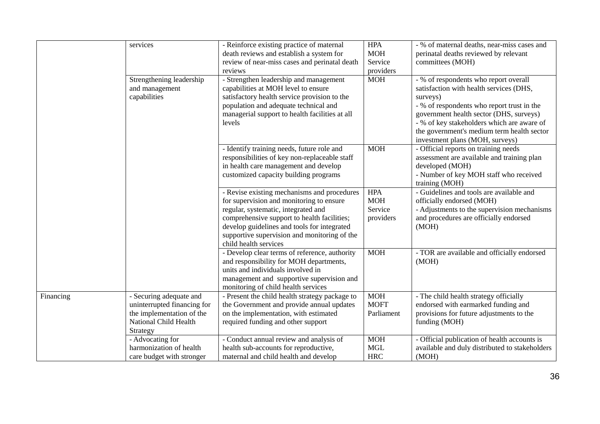|           | services                                                                                                                 | - Reinforce existing practice of maternal<br>death reviews and establish a system for<br>review of near-miss cases and perinatal death<br>reviews                                                                                                                                                     | <b>HPA</b><br><b>MOH</b><br>Service<br>providers | - % of maternal deaths, near-miss cases and<br>perinatal deaths reviewed by relevant<br>committees (MOH)                                                                                                                                                                                                             |
|-----------|--------------------------------------------------------------------------------------------------------------------------|-------------------------------------------------------------------------------------------------------------------------------------------------------------------------------------------------------------------------------------------------------------------------------------------------------|--------------------------------------------------|----------------------------------------------------------------------------------------------------------------------------------------------------------------------------------------------------------------------------------------------------------------------------------------------------------------------|
|           | Strengthening leadership<br>and management<br>capabilities                                                               | - Strengthen leadership and management<br>capabilities at MOH level to ensure<br>satisfactory health service provision to the<br>population and adequate technical and<br>managerial support to health facilities at all<br>levels                                                                    | <b>MOH</b>                                       | - % of respondents who report overall<br>satisfaction with health services (DHS,<br>surveys)<br>- % of respondents who report trust in the<br>government health sector (DHS, surveys)<br>- % of key stakeholders which are aware of<br>the government's medium term health sector<br>investment plans (MOH, surveys) |
|           |                                                                                                                          | - Identify training needs, future role and<br>responsibilities of key non-replaceable staff<br>in health care management and develop<br>customized capacity building programs                                                                                                                         | <b>MOH</b>                                       | - Official reports on training needs<br>assessment are available and training plan<br>developed (MOH)<br>- Number of key MOH staff who received<br>training (MOH)                                                                                                                                                    |
|           |                                                                                                                          | - Revise existing mechanisms and procedures<br>for supervision and monitoring to ensure<br>regular, systematic, integrated and<br>comprehensive support to health facilities;<br>develop guidelines and tools for integrated<br>supportive supervision and monitoring of the<br>child health services | <b>HPA</b><br><b>MOH</b><br>Service<br>providers | - Guidelines and tools are available and<br>officially endorsed (MOH)<br>- Adjustments to the supervision mechanisms<br>and procedures are officially endorsed<br>(MOH)                                                                                                                                              |
|           |                                                                                                                          | - Develop clear terms of reference, authority<br>and responsibility for MOH departments,<br>units and individuals involved in<br>management and supportive supervision and<br>monitoring of child health services                                                                                     | <b>MOH</b>                                       | - TOR are available and officially endorsed<br>(MOH)                                                                                                                                                                                                                                                                 |
| Financing | - Securing adequate and<br>uninterrupted financing for<br>the implementation of the<br>National Child Health<br>Strategy | - Present the child health strategy package to<br>the Government and provide annual updates<br>on the implementation, with estimated<br>required funding and other support                                                                                                                            | <b>MOH</b><br><b>MOFT</b><br>Parliament          | - The child health strategy officially<br>endorsed with earmarked funding and<br>provisions for future adjustments to the<br>funding (MOH)                                                                                                                                                                           |
|           | - Advocating for<br>harmonization of health<br>care budget with stronger                                                 | - Conduct annual review and analysis of<br>health sub-accounts for reproductive,<br>maternal and child health and develop                                                                                                                                                                             | <b>MOH</b><br><b>MGL</b><br><b>HRC</b>           | - Official publication of health accounts is<br>available and duly distributed to stakeholders<br>(MOH)                                                                                                                                                                                                              |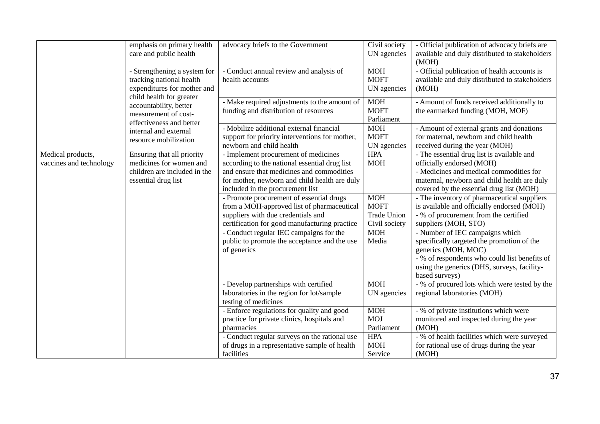|                                              | emphasis on primary health<br>care and public health                                                                | advocacy briefs to the Government                                                                                                                                                                                       | Civil society<br>UN agencies                                     | - Official publication of advocacy briefs are<br>available and duly distributed to stakeholders<br>(MOH)                                                                                                               |
|----------------------------------------------|---------------------------------------------------------------------------------------------------------------------|-------------------------------------------------------------------------------------------------------------------------------------------------------------------------------------------------------------------------|------------------------------------------------------------------|------------------------------------------------------------------------------------------------------------------------------------------------------------------------------------------------------------------------|
|                                              | - Strengthening a system for<br>tracking national health<br>expenditures for mother and<br>child health for greater | - Conduct annual review and analysis of<br>health accounts                                                                                                                                                              | <b>MOH</b><br><b>MOFT</b><br>UN agencies                         | - Official publication of health accounts is<br>available and duly distributed to stakeholders<br>(MOH)                                                                                                                |
|                                              | accountability, better<br>measurement of cost-<br>effectiveness and better                                          | - Make required adjustments to the amount of<br>funding and distribution of resources                                                                                                                                   | <b>MOH</b><br><b>MOFT</b><br>Parliament                          | - Amount of funds received additionally to<br>the earmarked funding (MOH, MOF)                                                                                                                                         |
|                                              | internal and external<br>resource mobilization                                                                      | - Mobilize additional external financial<br>support for priority interventions for mother,<br>newborn and child health                                                                                                  | <b>MOH</b><br><b>MOFT</b><br>UN agencies                         | - Amount of external grants and donations<br>for maternal, newborn and child health<br>received during the year (MOH)                                                                                                  |
| Medical products,<br>vaccines and technology | Ensuring that all priority<br>medicines for women and<br>children are included in the<br>essential drug list        | - Implement procurement of medicines<br>according to the national essential drug list<br>and ensure that medicines and commodities<br>for mother, newborn and child health are duly<br>included in the procurement list | <b>HPA</b><br><b>MOH</b>                                         | - The essential drug list is available and<br>officially endorsed (MOH)<br>- Medicines and medical commodities for<br>maternal, newborn and child health are duly<br>covered by the essential drug list (MOH)          |
|                                              |                                                                                                                     | - Promote procurement of essential drugs<br>from a MOH-approved list of pharmaceutical<br>suppliers with due credentials and<br>certification for good manufacturing practice                                           | <b>MOH</b><br><b>MOFT</b><br><b>Trade Union</b><br>Civil society | - The inventory of pharmaceutical suppliers<br>is available and officially endorsed (MOH)<br>- % of procurement from the certified<br>suppliers (MOH, STO)                                                             |
|                                              |                                                                                                                     | - Conduct regular IEC campaigns for the<br>public to promote the acceptance and the use<br>of generics                                                                                                                  | <b>MOH</b><br>Media                                              | - Number of IEC campaigns which<br>specifically targeted the promotion of the<br>generics (MOH, MOC)<br>- % of respondents who could list benefits of<br>using the generics (DHS, surveys, facility-<br>based surveys) |
|                                              |                                                                                                                     | - Develop partnerships with certified<br>laboratories in the region for lot/sample<br>testing of medicines                                                                                                              | <b>MOH</b><br>UN agencies                                        | - % of procured lots which were tested by the<br>regional laboratories (MOH)                                                                                                                                           |
|                                              |                                                                                                                     | - Enforce regulations for quality and good<br>practice for private clinics, hospitals and<br>pharmacies                                                                                                                 | <b>MOH</b><br><b>MOJ</b><br>Parliament                           | - % of private institutions which were<br>monitored and inspected during the year<br>(MOH)                                                                                                                             |
|                                              |                                                                                                                     | - Conduct regular surveys on the rational use<br>of drugs in a representative sample of health<br>facilities                                                                                                            | <b>HPA</b><br><b>MOH</b><br>Service                              | - % of health facilities which were surveyed<br>for rational use of drugs during the year<br>(MOH)                                                                                                                     |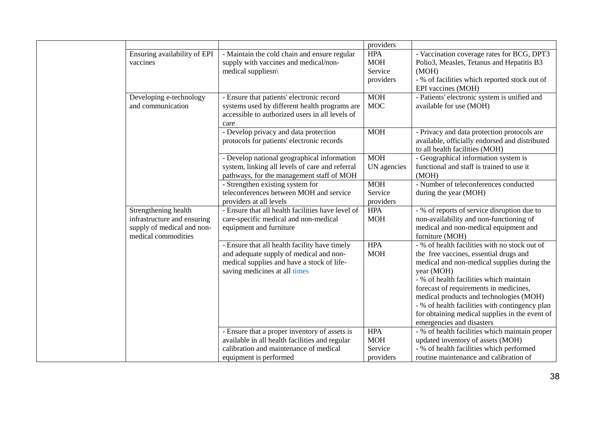|                              |                                                   | providers   |                                                |
|------------------------------|---------------------------------------------------|-------------|------------------------------------------------|
| Ensuring availability of EPI | - Maintain the cold chain and ensure regular      | <b>HPA</b>  | - Vaccination coverage rates for BCG, DPT3     |
| vaccines                     | supply with vaccines and medical/non-             | <b>MOH</b>  | Polio3, Measles, Tetanus and Hepatitis B3      |
|                              | medical suppliesn\                                | Service     | (MOH)                                          |
|                              |                                                   | providers   | - % of facilities which reported stock out of  |
|                              |                                                   |             | EPI vaccines (MOH)                             |
| Developing e-technology      | - Ensure that patients' electronic record         | <b>MOH</b>  | - Patients' electronic system is unified and   |
| and communication            | systems used by different health programs are     | <b>MOC</b>  | available for use (MOH)                        |
|                              | accessible to authorized users in all levels of   |             |                                                |
|                              | care                                              |             |                                                |
|                              | - Develop privacy and data protection             | <b>MOH</b>  | - Privacy and data protection protocols are    |
|                              | protocols for patients' electronic records        |             | available, officially endorsed and distributed |
|                              |                                                   |             | to all health facilities (MOH)                 |
|                              | - Develop national geographical information       | <b>MOH</b>  | - Geographical information system is           |
|                              | system, linking all levels of care and referral   | UN agencies | functional and staff is trained to use it      |
|                              | pathways, for the management staff of MOH         |             | (MOH)                                          |
|                              | - Strengthen existing system for                  | <b>MOH</b>  | - Number of teleconferences conducted          |
|                              | teleconferences between MOH and service           | Service     | during the year (MOH)                          |
|                              | providers at all levels                           | providers   |                                                |
| Strengthening health         | - Ensure that all health facilities have level of | <b>HPA</b>  | - % of reports of service disruption due to    |
| infrastructure and ensuring  | care-specific medical and non-medical             | <b>MOH</b>  | non-availability and non-functioning of        |
| supply of medical and non-   | equipment and furniture                           |             | medical and non-medical equipment and          |
| medical commodities          |                                                   |             | furniture (MOH)                                |
|                              | - Ensure that all health facility have timely     | <b>HPA</b>  | - % of health facilities with no stock out of  |
|                              | and adequate supply of medical and non-           | <b>MOH</b>  | the free vaccines, essential drugs and         |
|                              | medical supplies and have a stock of life-        |             | medical and non-medical supplies during the    |
|                              | saving medicines at all times                     |             | year (MOH)                                     |
|                              |                                                   |             | - % of health facilities which maintain        |
|                              |                                                   |             | forecast of requirements in medicines,         |
|                              |                                                   |             | medical products and technologies (MOH)        |
|                              |                                                   |             | - % of health facilities with contingency plan |
|                              |                                                   |             | for obtaining medical supplies in the event of |
|                              |                                                   |             | emergencies and disasters                      |
|                              | - Ensure that a proper inventory of assets is     | <b>HPA</b>  | - % of health facilities which maintain proper |
|                              | available in all health facilities and regular    | <b>MOH</b>  | updated inventory of assets (MOH)              |
|                              | calibration and maintenance of medical            | Service     | - % of health facilities which performed       |
|                              | equipment is performed                            | providers   | routine maintenance and calibration of         |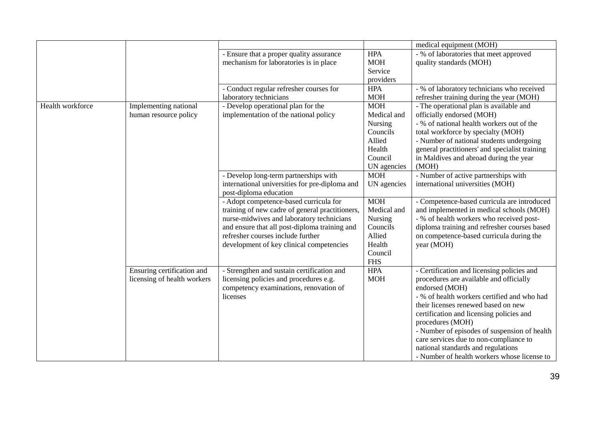|                  |                             |                                                 |             | medical equipment (MOH)                        |
|------------------|-----------------------------|-------------------------------------------------|-------------|------------------------------------------------|
|                  |                             | - Ensure that a proper quality assurance        | <b>HPA</b>  | - % of laboratories that meet approved         |
|                  |                             | mechanism for laboratories is in place          | <b>MOH</b>  | quality standards (MOH)                        |
|                  |                             |                                                 | Service     |                                                |
|                  |                             |                                                 | providers   |                                                |
|                  |                             | - Conduct regular refresher courses for         | <b>HPA</b>  | - % of laboratory technicians who received     |
|                  |                             | laboratory technicians                          | <b>MOH</b>  | refresher training during the year (MOH)       |
| Health workforce | Implementing national       | - Develop operational plan for the              | <b>MOH</b>  | - The operational plan is available and        |
|                  | human resource policy       | implementation of the national policy           | Medical and | officially endorsed (MOH)                      |
|                  |                             |                                                 | Nursing     | - % of national health workers out of the      |
|                  |                             |                                                 | Councils    | total workforce by specialty (MOH)             |
|                  |                             |                                                 | Allied      | - Number of national students undergoing       |
|                  |                             |                                                 | Health      | general practitioners' and specialist training |
|                  |                             |                                                 | Council     | in Maldives and abroad during the year         |
|                  |                             |                                                 | UN agencies | (MOH)                                          |
|                  |                             | - Develop long-term partnerships with           | <b>MOH</b>  | - Number of active partnerships with           |
|                  |                             | international universities for pre-diploma and  | UN agencies | international universities (MOH)               |
|                  |                             | post-diploma education                          |             |                                                |
|                  |                             | - Adopt competence-based curricula for          | <b>MOH</b>  | - Competence-based curricula are introduced    |
|                  |                             | training of new cadre of general practitioners, | Medical and | and implemented in medical schools (MOH)       |
|                  |                             | nurse-midwives and laboratory technicians       | Nursing     | - % of health workers who received post-       |
|                  |                             | and ensure that all post-diploma training and   | Councils    | diploma training and refresher courses based   |
|                  |                             | refresher courses include further               | Allied      | on competence-based curricula during the       |
|                  |                             | development of key clinical competencies        | Health      | year (MOH)                                     |
|                  |                             |                                                 | Council     |                                                |
|                  |                             |                                                 | <b>FHS</b>  |                                                |
|                  | Ensuring certification and  | - Strengthen and sustain certification and      | <b>HPA</b>  | - Certification and licensing policies and     |
|                  | licensing of health workers | licensing policies and procedures e.g.          | <b>MOH</b>  | procedures are available and officially        |
|                  |                             | competency examinations, renovation of          |             | endorsed (MOH)                                 |
|                  |                             | licenses                                        |             | - % of health workers certified and who had    |
|                  |                             |                                                 |             | their licenses renewed based on new            |
|                  |                             |                                                 |             | certification and licensing policies and       |
|                  |                             |                                                 |             | procedures (MOH)                               |
|                  |                             |                                                 |             | - Number of episodes of suspension of health   |
|                  |                             |                                                 |             | care services due to non-compliance to         |
|                  |                             |                                                 |             | national standards and regulations             |
|                  |                             |                                                 |             | - Number of health workers whose license to    |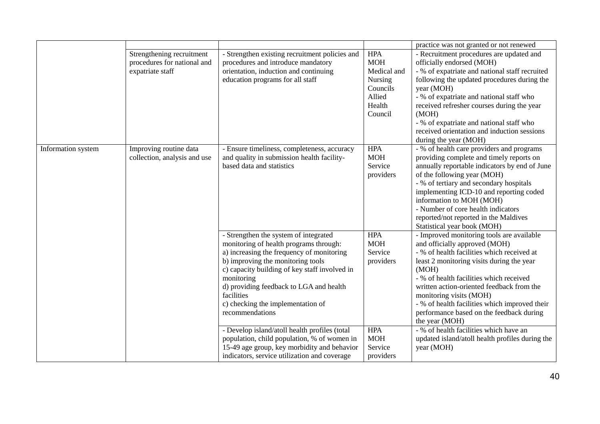|                    |                                                                              |                                                                                                                                                                                                                                                                                                                                                                                                    |                                                                                               | practice was not granted or not renewed                                                                                                                                                                                                                                                                                                                                                                                                                    |
|--------------------|------------------------------------------------------------------------------|----------------------------------------------------------------------------------------------------------------------------------------------------------------------------------------------------------------------------------------------------------------------------------------------------------------------------------------------------------------------------------------------------|-----------------------------------------------------------------------------------------------|------------------------------------------------------------------------------------------------------------------------------------------------------------------------------------------------------------------------------------------------------------------------------------------------------------------------------------------------------------------------------------------------------------------------------------------------------------|
|                    | Strengthening recruitment<br>procedures for national and<br>expatriate staff | - Strengthen existing recruitment policies and<br>procedures and introduce mandatory<br>orientation, induction and continuing<br>education programs for all staff                                                                                                                                                                                                                                  | <b>HPA</b><br><b>MOH</b><br>Medical and<br>Nursing<br>Councils<br>Allied<br>Health<br>Council | - Recruitment procedures are updated and<br>officially endorsed (MOH)<br>- % of expatriate and national staff recruited<br>following the updated procedures during the<br>year (MOH)<br>- % of expatriate and national staff who<br>received refresher courses during the year<br>(MOH)<br>- % of expatriate and national staff who<br>received orientation and induction sessions<br>during the year (MOH)                                                |
| Information system | Improving routine data<br>collection, analysis and use                       | - Ensure timeliness, completeness, accuracy<br>and quality in submission health facility-<br>based data and statistics                                                                                                                                                                                                                                                                             | <b>HPA</b><br><b>MOH</b><br>Service<br>providers                                              | - % of health care providers and programs<br>providing complete and timely reports on<br>annually reportable indicators by end of June<br>of the following year (MOH)<br>- % of tertiary and secondary hospitals<br>implementing ICD-10 and reporting coded<br>information to MOH (MOH)<br>- Number of core health indicators<br>reported/not reported in the Maldives<br>Statistical year book (MOH)                                                      |
|                    |                                                                              | - Strengthen the system of integrated<br>monitoring of health programs through:<br>a) increasing the frequency of monitoring<br>b) improving the monitoring tools<br>c) capacity building of key staff involved in<br>monitoring<br>d) providing feedback to LGA and health<br>facilities<br>c) checking the implementation of<br>recommendations<br>- Develop island/atoll health profiles (total | <b>HPA</b><br><b>MOH</b><br>Service<br>providers<br><b>HPA</b>                                | - Improved monitoring tools are available<br>and officially approved (MOH)<br>- % of health facilities which received at<br>least 2 monitoring visits during the year<br>(MOH)<br>- % of health facilities which received<br>written action-oriented feedback from the<br>monitoring visits (MOH)<br>- % of health facilities which improved their<br>performance based on the feedback during<br>the year (MOH)<br>- % of health facilities which have an |
|                    |                                                                              | population, child population, % of women in<br>15-49 age group, key morbidity and behavior<br>indicators, service utilization and coverage                                                                                                                                                                                                                                                         | <b>MOH</b><br>Service<br>providers                                                            | updated island/atoll health profiles during the<br>year (MOH)                                                                                                                                                                                                                                                                                                                                                                                              |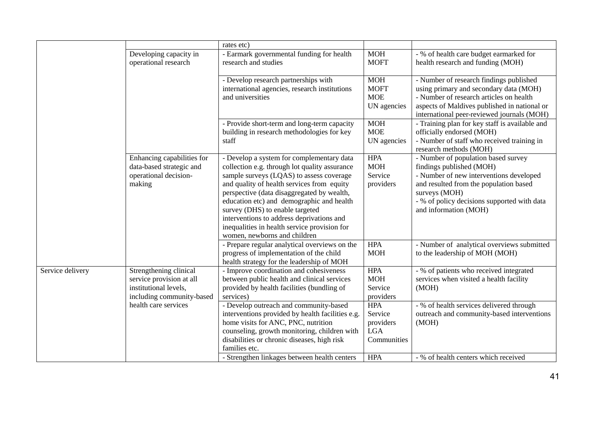|                  |                                                | rates etc)                                                                            |                           |                                                                                   |
|------------------|------------------------------------------------|---------------------------------------------------------------------------------------|---------------------------|-----------------------------------------------------------------------------------|
|                  | Developing capacity in<br>operational research | - Earmark governmental funding for health<br>research and studies                     | <b>MOH</b><br><b>MOFT</b> | - % of health care budget earmarked for<br>health research and funding (MOH)      |
|                  |                                                |                                                                                       |                           |                                                                                   |
|                  |                                                | - Develop research partnerships with<br>international agencies, research institutions | <b>MOH</b><br><b>MOFT</b> | - Number of research findings published<br>using primary and secondary data (MOH) |
|                  |                                                | and universities                                                                      | <b>MOE</b>                | - Number of research articles on health                                           |
|                  |                                                |                                                                                       | UN agencies               | aspects of Maldives published in national or                                      |
|                  |                                                |                                                                                       |                           | international peer-reviewed journals (MOH)                                        |
|                  |                                                | - Provide short-term and long-term capacity                                           | <b>MOH</b>                | - Training plan for key staff is available and                                    |
|                  |                                                | building in research methodologies for key                                            | <b>MOE</b>                | officially endorsed (MOH)                                                         |
|                  |                                                | staff                                                                                 | UN agencies               | - Number of staff who received training in<br>research methods (MOH)              |
|                  | Enhancing capabilities for                     | - Develop a system for complementary data                                             | <b>HPA</b>                | - Number of population based survey                                               |
|                  | data-based strategic and                       | collection e.g. through lot quality assurance                                         | <b>MOH</b>                | findings published (MOH)                                                          |
|                  | operational decision-                          | sample surveys (LQAS) to assess coverage                                              | Service                   | - Number of new interventions developed                                           |
|                  | making                                         | and quality of health services from equity                                            | providers                 | and resulted from the population based                                            |
|                  |                                                | perspective (data disaggregated by wealth,                                            |                           | surveys (MOH)                                                                     |
|                  |                                                | education etc) and demographic and health<br>survey (DHS) to enable targeted          |                           | - % of policy decisions supported with data<br>and information (MOH)              |
|                  |                                                | interventions to address deprivations and                                             |                           |                                                                                   |
|                  |                                                | inequalities in health service provision for                                          |                           |                                                                                   |
|                  |                                                | women, newborns and children                                                          |                           |                                                                                   |
|                  |                                                | - Prepare regular analytical overviews on the                                         | <b>HPA</b>                | - Number of analytical overviews submitted                                        |
|                  |                                                | progress of implementation of the child                                               | <b>MOH</b>                | to the leadership of MOH (MOH)                                                    |
|                  |                                                | health strategy for the leadership of MOH                                             |                           |                                                                                   |
| Service delivery | Strengthening clinical                         | - Improve coordination and cohesiveness                                               | <b>HPA</b>                | - % of patients who received integrated                                           |
|                  | service provision at all                       | between public health and clinical services                                           | <b>MOH</b>                | services when visited a health facility                                           |
|                  | institutional levels,                          | provided by health facilities (bundling of                                            | Service                   | (MOH)                                                                             |
|                  | including community-based                      | services)                                                                             | providers                 |                                                                                   |
|                  | health care services                           | - Develop outreach and community-based                                                | <b>HPA</b>                | - % of health services delivered through                                          |
|                  |                                                | interventions provided by health facilities e.g.                                      | Service                   | outreach and community-based interventions                                        |
|                  |                                                | home visits for ANC, PNC, nutrition<br>counseling, growth monitoring, children with   | providers<br><b>LGA</b>   | (MOH)                                                                             |
|                  |                                                | disabilities or chronic diseases, high risk                                           | Communities               |                                                                                   |
|                  |                                                | families etc.                                                                         |                           |                                                                                   |
|                  |                                                | - Strengthen linkages between health centers                                          | <b>HPA</b>                | - % of health centers which received                                              |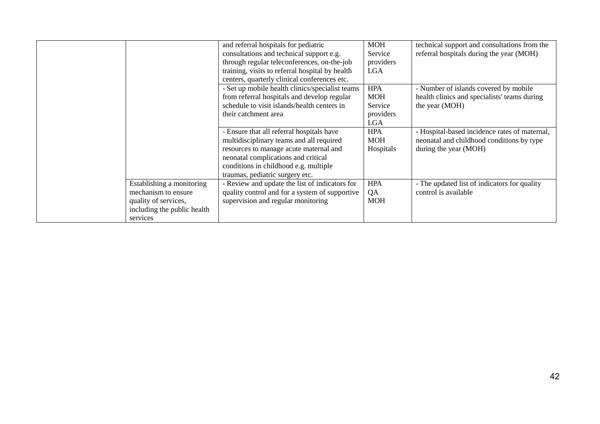|                                                                                                                     | and referral hospitals for pediatric<br>consultations and technical support e.g.<br>through regular teleconferences, on-the-job<br>training, visits to referral hospital by health<br>centers, quarterly clinical conferences etc.                 | <b>MOH</b><br>Service<br>providers<br><b>LGA</b>               | technical support and consultations from the<br>referral hospitals during the year (MOH)                            |
|---------------------------------------------------------------------------------------------------------------------|----------------------------------------------------------------------------------------------------------------------------------------------------------------------------------------------------------------------------------------------------|----------------------------------------------------------------|---------------------------------------------------------------------------------------------------------------------|
|                                                                                                                     | - Set up mobile health clinics/specialist teams<br>from referral hospitals and develop regular<br>schedule to visit islands/health centers in<br>their catchment area                                                                              | <b>HPA</b><br><b>MOH</b><br>Service<br>providers<br><b>LGA</b> | - Number of islands covered by mobile<br>health clinics and specialists' teams during<br>the year (MOH)             |
|                                                                                                                     | - Ensure that all referral hospitals have<br>multidisciplinary teams and all required<br>resources to manage acute maternal and<br>neonatal complications and critical<br>conditions in childhood e.g. multiple<br>traumas, pediatric surgery etc. | <b>HPA</b><br><b>MOH</b><br>Hospitals                          | - Hospital-based incidence rates of maternal,<br>neonatal and childhood conditions by type<br>during the year (MOH) |
| Establishing a monitoring<br>mechanism to ensure<br>quality of services,<br>including the public health<br>services | - Review and update the list of indicators for<br>quality control and for a system of supportive<br>supervision and regular monitoring                                                                                                             | <b>HPA</b><br>QA<br><b>MOH</b>                                 | - The updated list of indicators for quality<br>control is available                                                |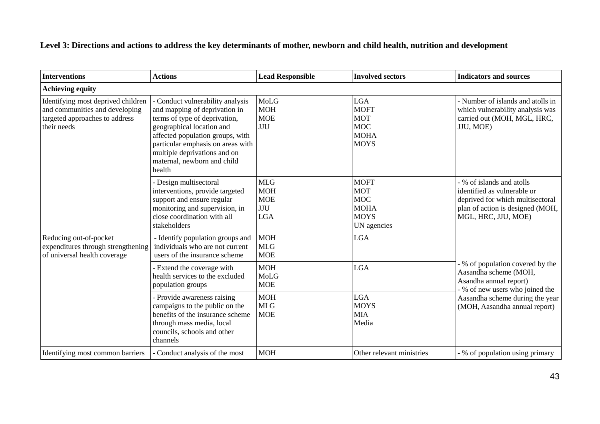**Level 3: Directions and actions to address the key determinants of mother, newborn and child health, nutrition and development**

| <b>Interventions</b>                                                                                                  | <b>Actions</b>                                                                                                                                                                                                                                                                  | <b>Lead Responsible</b>                                     | <b>Involved sectors</b>                                                              | <b>Indicators and sources</b>                                                                                                                         |
|-----------------------------------------------------------------------------------------------------------------------|---------------------------------------------------------------------------------------------------------------------------------------------------------------------------------------------------------------------------------------------------------------------------------|-------------------------------------------------------------|--------------------------------------------------------------------------------------|-------------------------------------------------------------------------------------------------------------------------------------------------------|
| <b>Achieving equity</b>                                                                                               |                                                                                                                                                                                                                                                                                 |                                                             |                                                                                      |                                                                                                                                                       |
| Identifying most deprived children<br>and communities and developing<br>targeted approaches to address<br>their needs | Conduct vulnerability analysis<br>and mapping of deprivation in<br>terms of type of deprivation,<br>geographical location and<br>affected population groups, with<br>particular emphasis on areas with<br>multiple deprivations and on<br>maternal, newborn and child<br>health | MoLG<br><b>MOH</b><br><b>MOE</b><br><b>JJU</b>              | <b>LGA</b><br><b>MOFT</b><br><b>MOT</b><br><b>MOC</b><br><b>MOHA</b><br><b>MOYS</b>  | - Number of islands and atolls in<br>which vulnerability analysis was<br>carried out (MOH, MGL, HRC,<br>JJU, MOE)                                     |
|                                                                                                                       | Design multisectoral<br>interventions, provide targeted<br>support and ensure regular<br>monitoring and supervision, in<br>close coordination with all<br>stakeholders                                                                                                          | <b>MLG</b><br><b>MOH</b><br><b>MOE</b><br>JJU<br><b>LGA</b> | <b>MOFT</b><br><b>MOT</b><br><b>MOC</b><br><b>MOHA</b><br><b>MOYS</b><br>UN agencies | % of islands and atolls<br>identified as vulnerable or<br>deprived for which multisectoral<br>plan of action is designed (MOH,<br>MGL, HRC, JJU, MOE) |
| Reducing out-of-pocket<br>expenditures through strengthening<br>of universal health coverage                          | - Identify population groups and<br>individuals who are not current<br>users of the insurance scheme                                                                                                                                                                            | <b>MOH</b><br><b>MLG</b><br><b>MOE</b>                      | <b>LGA</b>                                                                           |                                                                                                                                                       |
|                                                                                                                       | - Extend the coverage with<br>health services to the excluded<br>population groups                                                                                                                                                                                              | <b>MOH</b><br>MoLG<br><b>MOE</b>                            | <b>LGA</b>                                                                           | % of population covered by the<br>Aasandha scheme (MOH,<br>Asandha annual report)<br>% of new users who joined the                                    |
|                                                                                                                       | - Provide awareness raising<br>campaigns to the public on the<br>benefits of the insurance scheme<br>through mass media, local<br>councils, schools and other<br>channels                                                                                                       | <b>MOH</b><br><b>MLG</b><br><b>MOE</b>                      | <b>LGA</b><br><b>MOYS</b><br><b>MIA</b><br>Media                                     | Aasandha scheme during the year<br>(MOH, Aasandha annual report)                                                                                      |
| Identifying most common barriers                                                                                      | Conduct analysis of the most                                                                                                                                                                                                                                                    | <b>MOH</b>                                                  | Other relevant ministries                                                            | % of population using primary                                                                                                                         |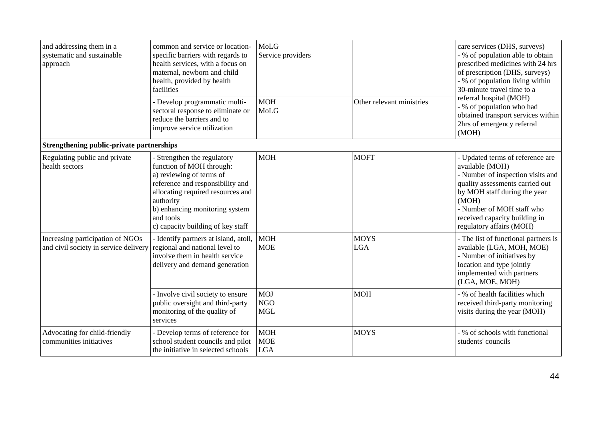| and addressing them in a<br>systematic and sustainable<br>approach        | common and service or location-<br>specific barriers with regards to<br>health services, with a focus on<br>maternal, newborn and child<br>health, provided by health<br>facilities<br>- Develop programmatic multi-<br>sectoral response to eliminate or<br>reduce the barriers and to<br>improve service utilization | MoLG<br>Service providers<br><b>MOH</b><br>MoLG | Other relevant ministries | care services (DHS, surveys)<br>- % of population able to obtain<br>prescribed medicines with 24 hrs<br>of prescription (DHS, surveys)<br>- % of population living within<br>30-minute travel time to a<br>referral hospital (MOH)<br>- % of population who had<br>obtained transport services within<br>2hrs of emergency referral<br>(MOH) |
|---------------------------------------------------------------------------|------------------------------------------------------------------------------------------------------------------------------------------------------------------------------------------------------------------------------------------------------------------------------------------------------------------------|-------------------------------------------------|---------------------------|----------------------------------------------------------------------------------------------------------------------------------------------------------------------------------------------------------------------------------------------------------------------------------------------------------------------------------------------|
| Strengthening public-private partnerships                                 |                                                                                                                                                                                                                                                                                                                        |                                                 |                           |                                                                                                                                                                                                                                                                                                                                              |
| Regulating public and private<br>health sectors                           | Strengthen the regulatory<br>function of MOH through:<br>a) reviewing of terms of<br>reference and responsibility and<br>allocating required resources and<br>authority<br>b) enhancing monitoring system<br>and tools<br>c) capacity building of key staff                                                            | <b>MOH</b>                                      | <b>MOFT</b>               | - Updated terms of reference are<br>available (MOH)<br>- Number of inspection visits and<br>quality assessments carried out<br>by MOH staff during the year<br>(MOH)<br>- Number of MOH staff who<br>received capacity building in<br>regulatory affairs (MOH)                                                                               |
| Increasing participation of NGOs<br>and civil society in service delivery | - Identify partners at island, atoll,<br>regional and national level to<br>involve them in health service<br>delivery and demand generation                                                                                                                                                                            | <b>MOH</b><br><b>MOE</b>                        | <b>MOYS</b><br><b>LGA</b> | - The list of functional partners is<br>available (LGA, MOH, MOE)<br>- Number of initiatives by<br>location and type jointly<br>implemented with partners<br>(LGA, MOE, MOH)                                                                                                                                                                 |
|                                                                           | - Involve civil society to ensure<br>public oversight and third-party<br>monitoring of the quality of<br>services                                                                                                                                                                                                      | <b>MOJ</b><br><b>NGO</b><br><b>MGL</b>          | <b>MOH</b>                | - % of health facilities which<br>received third-party monitoring<br>visits during the year (MOH)                                                                                                                                                                                                                                            |
| Advocating for child-friendly<br>communities initiatives                  | - Develop terms of reference for<br>school student councils and pilot<br>the initiative in selected schools                                                                                                                                                                                                            | <b>MOH</b><br><b>MOE</b><br><b>LGA</b>          | <b>MOYS</b>               | - % of schools with functional<br>students' councils                                                                                                                                                                                                                                                                                         |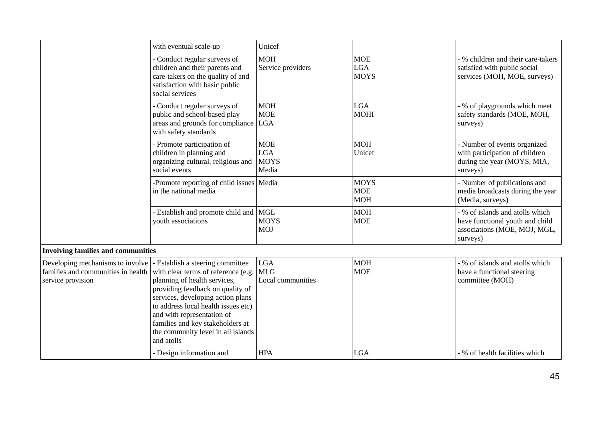|                                                                                             | with eventual scale-up                                                                                                                                                                                                                                                                                                                        | Unicef                                           |                                         |                                                                                                                |
|---------------------------------------------------------------------------------------------|-----------------------------------------------------------------------------------------------------------------------------------------------------------------------------------------------------------------------------------------------------------------------------------------------------------------------------------------------|--------------------------------------------------|-----------------------------------------|----------------------------------------------------------------------------------------------------------------|
|                                                                                             | - Conduct regular surveys of<br>children and their parents and<br>care-takers on the quality of and<br>satisfaction with basic public<br>social services                                                                                                                                                                                      | <b>MOH</b><br>Service providers                  | <b>MOE</b><br><b>LGA</b><br><b>MOYS</b> | - % children and their care-takers<br>satisfied with public social<br>services (MOH, MOE, surveys)             |
|                                                                                             | - Conduct regular surveys of<br>public and school-based play<br>areas and grounds for compliance LGA<br>with safety standards                                                                                                                                                                                                                 | <b>MOH</b><br><b>MOE</b>                         | <b>LGA</b><br><b>MOHI</b>               | - % of playgrounds which meet<br>safety standards (MOE, MOH,<br>surveys)                                       |
|                                                                                             | - Promote participation of<br>children in planning and<br>organizing cultural, religious and<br>social events                                                                                                                                                                                                                                 | <b>MOE</b><br><b>LGA</b><br><b>MOYS</b><br>Media | <b>MOH</b><br>Unicef                    | - Number of events organized<br>with participation of children<br>during the year (MOYS, MIA,<br>surveys)      |
|                                                                                             | -Promote reporting of child issues   Media<br>in the national media                                                                                                                                                                                                                                                                           |                                                  | <b>MOYS</b><br><b>MOE</b><br><b>MOH</b> | - Number of publications and<br>media broadcasts during the year<br>(Media, surveys)                           |
|                                                                                             | - Establish and promote child and MGL<br>youth associations                                                                                                                                                                                                                                                                                   | <b>MOYS</b><br><b>MOJ</b>                        | <b>MOH</b><br><b>MOE</b>                | - % of islands and atolls which<br>have functional youth and child<br>associations (MOE, MOJ, MGL,<br>surveys) |
| <b>Involving families and communities</b>                                                   |                                                                                                                                                                                                                                                                                                                                               |                                                  |                                         |                                                                                                                |
| Developing mechanisms to involve<br>families and communities in health<br>service provision | - Establish a steering committee<br>with clear terms of reference (e.g.<br>planning of health services,<br>providing feedback on quality of<br>services, developing action plans<br>to address local health issues etc)<br>and with representation of<br>families and key stakeholders at<br>the community level in all islands<br>and atolls | <b>LGA</b><br><b>MLG</b><br>Local communities    | <b>MOH</b><br><b>MOE</b>                | - % of islands and atolls which<br>have a functional steering<br>committee (MOH)                               |
|                                                                                             | - Design information and                                                                                                                                                                                                                                                                                                                      | <b>HPA</b>                                       | <b>LGA</b>                              | - % of health facilities which                                                                                 |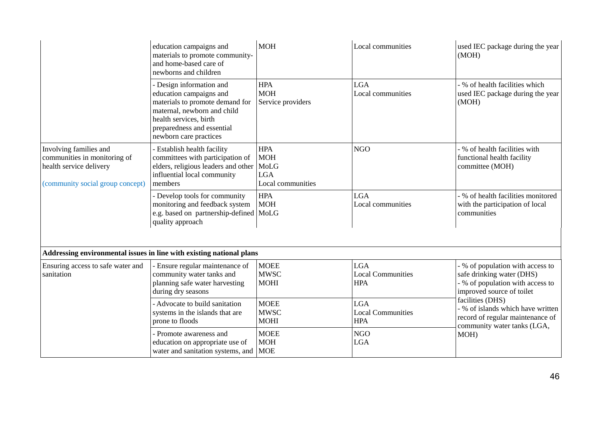|                                                                                                                       | education campaigns and<br>materials to promote community-<br>and home-based care of<br>newborns and children                                                                                           | <b>MOH</b>                                                          | Local communities                                    | used IEC package during the year<br>(MOH)                                                                                      |
|-----------------------------------------------------------------------------------------------------------------------|---------------------------------------------------------------------------------------------------------------------------------------------------------------------------------------------------------|---------------------------------------------------------------------|------------------------------------------------------|--------------------------------------------------------------------------------------------------------------------------------|
|                                                                                                                       | - Design information and<br>education campaigns and<br>materials to promote demand for<br>maternal, newborn and child<br>health services, birth<br>preparedness and essential<br>newborn care practices | <b>HPA</b><br><b>MOH</b><br>Service providers                       | <b>LGA</b><br>Local communities                      | - % of health facilities which<br>used IEC package during the year<br>(MOH)                                                    |
| Involving families and<br>communities in monitoring of<br>health service delivery<br>(community social group concept) | - Establish health facility<br>committees with participation of<br>elders, religious leaders and other<br>influential local community<br>members                                                        | <b>HPA</b><br><b>MOH</b><br>MoLG<br><b>LGA</b><br>Local communities | <b>NGO</b>                                           | - % of health facilities with<br>functional health facility<br>committee (MOH)                                                 |
|                                                                                                                       | - Develop tools for community<br>monitoring and feedback system<br>e.g. based on partnership-defined MoLG<br>quality approach                                                                           | <b>HPA</b><br><b>MOH</b>                                            | <b>LGA</b><br>Local communities                      | - % of health facilities monitored<br>with the participation of local<br>communities                                           |
|                                                                                                                       | Addressing environmental issues in line with existing national plans                                                                                                                                    |                                                                     |                                                      |                                                                                                                                |
| Ensuring access to safe water and<br>sanitation                                                                       | - Ensure regular maintenance of<br>community water tanks and<br>planning safe water harvesting<br>during dry seasons                                                                                    | <b>MOEE</b><br><b>MWSC</b><br><b>MOHI</b>                           | <b>LGA</b><br><b>Local Communities</b><br><b>HPA</b> | - % of population with access to<br>safe drinking water (DHS)<br>- % of population with access to<br>improved source of toilet |
|                                                                                                                       | - Advocate to build sanitation<br>systems in the islands that are<br>prone to floods                                                                                                                    | <b>MOEE</b><br><b>MWSC</b><br><b>MOHI</b>                           | <b>LGA</b><br><b>Local Communities</b><br><b>HPA</b> | facilities (DHS)<br>- % of islands which have written<br>record of regular maintenance of<br>community water tanks (LGA,       |
|                                                                                                                       | - Promote awareness and<br>education on appropriate use of<br>water and sanitation systems, and                                                                                                         | <b>MOEE</b><br><b>MOH</b><br><b>MOE</b>                             | <b>NGO</b><br><b>LGA</b>                             | MOH)                                                                                                                           |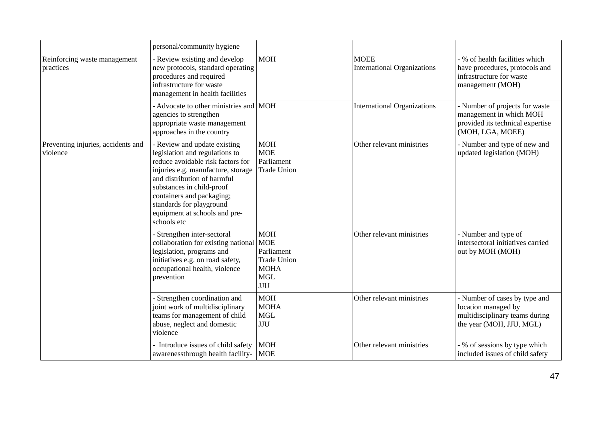|                                                | personal/community hygiene                                                                                                                                                                                                                                                                                     |                                                                                                        |                                                   |                                                                                                                    |
|------------------------------------------------|----------------------------------------------------------------------------------------------------------------------------------------------------------------------------------------------------------------------------------------------------------------------------------------------------------------|--------------------------------------------------------------------------------------------------------|---------------------------------------------------|--------------------------------------------------------------------------------------------------------------------|
| Reinforcing waste management<br>practices      | - Review existing and develop<br>new protocols, standard operating<br>procedures and required<br>infrastructure for waste<br>management in health facilities                                                                                                                                                   | <b>MOH</b>                                                                                             | <b>MOEE</b><br><b>International Organizations</b> | - % of health facilities which<br>have procedures, protocols and<br>infrastructure for waste<br>management (MOH)   |
|                                                | - Advocate to other ministries and MOH<br>agencies to strengthen<br>appropriate waste management<br>approaches in the country                                                                                                                                                                                  |                                                                                                        | <b>International Organizations</b>                | - Number of projects for waste<br>management in which MOH<br>provided its technical expertise<br>(MOH, LGA, MOEE)  |
| Preventing injuries, accidents and<br>violence | - Review and update existing<br>legislation and regulations to<br>reduce avoidable risk factors for<br>injuries e.g. manufacture, storage<br>and distribution of harmful<br>substances in child-proof<br>containers and packaging;<br>standards for playground<br>equipment at schools and pre-<br>schools etc | <b>MOH</b><br><b>MOE</b><br>Parliament<br><b>Trade Union</b>                                           | Other relevant ministries                         | - Number and type of new and<br>updated legislation (MOH)                                                          |
|                                                | - Strengthen inter-sectoral<br>collaboration for existing national<br>legislation, programs and<br>initiatives e.g. on road safety,<br>occupational health, violence<br>prevention                                                                                                                             | <b>MOH</b><br><b>MOE</b><br>Parliament<br><b>Trade Union</b><br><b>MOHA</b><br><b>MGL</b><br>$\rm JJU$ | Other relevant ministries                         | - Number and type of<br>intersectoral initiatives carried<br>out by MOH (MOH)                                      |
|                                                | - Strengthen coordination and<br>joint work of multidisciplinary<br>teams for management of child<br>abuse, neglect and domestic<br>violence                                                                                                                                                                   | <b>MOH</b><br><b>MOHA</b><br><b>MGL</b><br><b>JJU</b>                                                  | Other relevant ministries                         | - Number of cases by type and<br>location managed by<br>multidisciplinary teams during<br>the year (MOH, JJU, MGL) |
|                                                | Introduce issues of child safety<br>awarenessthrough health facility-                                                                                                                                                                                                                                          | <b>MOH</b><br><b>MOE</b>                                                                               | Other relevant ministries                         | - % of sessions by type which<br>included issues of child safety                                                   |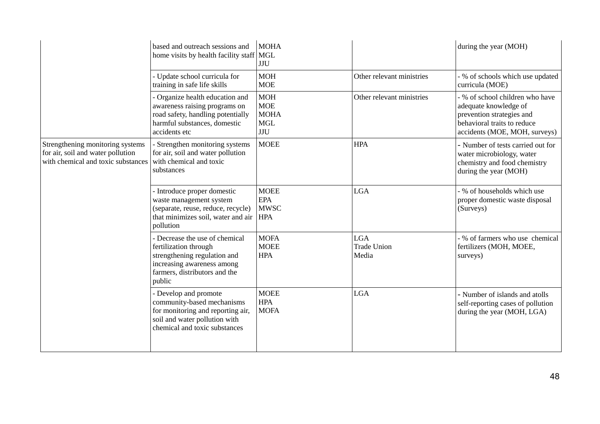|                                                                                                             | based and outreach sessions and<br>home visits by health facility staff MGL                                                                                      | <b>MOHA</b><br>$\rm JJU$                                           |                                           | during the year (MOH)                                                                                                                                 |
|-------------------------------------------------------------------------------------------------------------|------------------------------------------------------------------------------------------------------------------------------------------------------------------|--------------------------------------------------------------------|-------------------------------------------|-------------------------------------------------------------------------------------------------------------------------------------------------------|
|                                                                                                             | - Update school curricula for<br>training in safe life skills                                                                                                    | <b>MOH</b><br><b>MOE</b>                                           | Other relevant ministries                 | - % of schools which use updated<br>curricula (MOE)                                                                                                   |
|                                                                                                             | - Organize health education and<br>awareness raising programs on<br>road safety, handling potentially<br>harmful substances, domestic<br>accidents etc           | <b>MOH</b><br><b>MOE</b><br><b>MOHA</b><br><b>MGL</b><br>$\rm JJU$ | Other relevant ministries                 | - % of school children who have<br>adequate knowledge of<br>prevention strategies and<br>behavioral traits to reduce<br>accidents (MOE, MOH, surveys) |
| Strengthening monitoring systems<br>for air, soil and water pollution<br>with chemical and toxic substances | - Strengthen monitoring systems<br>for air, soil and water pollution<br>with chemical and toxic<br>substances                                                    | <b>MOEE</b>                                                        | <b>HPA</b>                                | - Number of tests carried out for<br>water microbiology, water<br>chemistry and food chemistry<br>during the year (MOH)                               |
|                                                                                                             | - Introduce proper domestic<br>waste management system<br>(separate, reuse, reduce, recycle)<br>that minimizes soil, water and air<br>pollution                  | <b>MOEE</b><br><b>EPA</b><br><b>MWSC</b><br><b>HPA</b>             | <b>LGA</b>                                | - % of households which use<br>proper domestic waste disposal<br>(Surveys)                                                                            |
|                                                                                                             | - Decrease the use of chemical<br>fertilization through<br>strengthening regulation and<br>increasing awareness among<br>farmers, distributors and the<br>public | <b>MOFA</b><br><b>MOEE</b><br><b>HPA</b>                           | <b>LGA</b><br><b>Trade Union</b><br>Media | - % of farmers who use chemical<br>fertilizers (MOH, MOEE,<br>surveys)                                                                                |
|                                                                                                             | - Develop and promote<br>community-based mechanisms<br>for monitoring and reporting air,<br>soil and water pollution with<br>chemical and toxic substances       | <b>MOEE</b><br><b>HPA</b><br><b>MOFA</b>                           | <b>LGA</b>                                | - Number of islands and atolls<br>self-reporting cases of pollution<br>during the year (MOH, LGA)                                                     |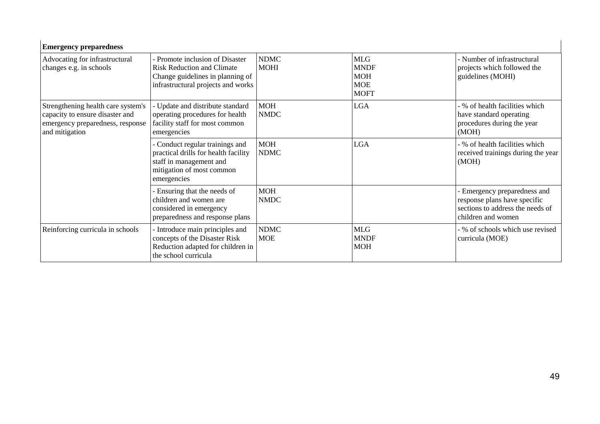| <b>Emergency preparedness</b>                                                                                               |                                                                                                                                                |                            |                                                                      |                                                                                                                        |
|-----------------------------------------------------------------------------------------------------------------------------|------------------------------------------------------------------------------------------------------------------------------------------------|----------------------------|----------------------------------------------------------------------|------------------------------------------------------------------------------------------------------------------------|
| Advocating for infrastructural<br>changes e.g. in schools                                                                   | - Promote inclusion of Disaster<br><b>Risk Reduction and Climate</b><br>Change guidelines in planning of<br>infrastructural projects and works | <b>NDMC</b><br><b>MOHI</b> | <b>MLG</b><br><b>MNDF</b><br><b>MOH</b><br><b>MOE</b><br><b>MOFT</b> | - Number of infrastructural<br>projects which followed the<br>guidelines (MOHI)                                        |
| Strengthening health care system's<br>capacity to ensure disaster and<br>emergency preparedness, response<br>and mitigation | - Update and distribute standard<br>operating procedures for health<br>facility staff for most common<br>emergencies                           | <b>MOH</b><br><b>NMDC</b>  | <b>LGA</b>                                                           | - % of health facilities which<br>have standard operating<br>procedures during the year<br>(MOH)                       |
|                                                                                                                             | - Conduct regular trainings and<br>practical drills for health facility<br>staff in management and<br>mitigation of most common<br>emergencies | <b>MOH</b><br><b>NDMC</b>  | <b>LGA</b>                                                           | - % of health facilities which<br>received trainings during the year<br>(MOH)                                          |
|                                                                                                                             | - Ensuring that the needs of<br>children and women are<br>considered in emergency<br>preparedness and response plans                           | <b>MOH</b><br><b>NMDC</b>  |                                                                      | - Emergency preparedness and<br>response plans have specific<br>sections to address the needs of<br>children and women |
| Reinforcing curricula in schools                                                                                            | - Introduce main principles and<br>concepts of the Disaster Risk<br>Reduction adapted for children in<br>the school curricula                  | <b>NDMC</b><br><b>MOE</b>  | <b>MLG</b><br><b>MNDF</b><br><b>MOH</b>                              | - % of schools which use revised<br>curricula (MOE)                                                                    |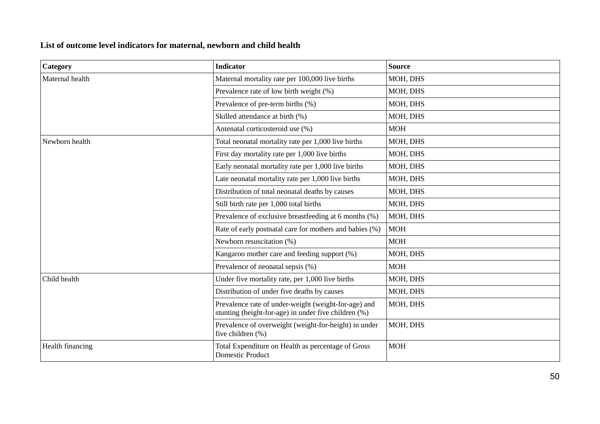## **List of outcome level indicators for maternal, newborn and child health**

| Category         | <b>Indicator</b>                                                                                             | <b>Source</b> |
|------------------|--------------------------------------------------------------------------------------------------------------|---------------|
| Maternal health  | Maternal mortality rate per 100,000 live births                                                              | MOH, DHS      |
|                  | Prevalence rate of low birth weight (%)                                                                      | MOH, DHS      |
|                  | Prevalence of pre-term births (%)                                                                            | MOH, DHS      |
|                  | Skilled attendance at birth (%)                                                                              | MOH, DHS      |
|                  | Antenatal corticosteroid use (%)                                                                             | <b>MOH</b>    |
| Newborn health   | Total neonatal mortality rate per 1,000 live births                                                          | MOH, DHS      |
|                  | First day mortality rate per 1,000 live births                                                               | MOH, DHS      |
|                  | Early neonatal mortality rate per 1,000 live births                                                          | MOH, DHS      |
|                  | Late neonatal mortality rate per 1,000 live births                                                           | MOH, DHS      |
|                  | Distribution of total neonatal deaths by causes                                                              | MOH, DHS      |
|                  | Still birth rate per 1,000 total births                                                                      | MOH, DHS      |
|                  | Prevalence of exclusive breastfeeding at 6 months (%)                                                        | MOH, DHS      |
|                  | Rate of early postnatal care for mothers and babies (%)                                                      | <b>MOH</b>    |
|                  | Newborn resuscitation (%)                                                                                    | <b>MOH</b>    |
|                  | Kangaroo mother care and feeding support (%)                                                                 | MOH, DHS      |
|                  | Prevalence of neonatal sepsis (%)                                                                            | <b>MOH</b>    |
| Child health     | Under five mortality rate, per 1,000 live births                                                             | MOH, DHS      |
|                  | Distribution of under five deaths by causes                                                                  | MOH, DHS      |
|                  | Prevalence rate of under-weight (weight-for-age) and<br>stunting (height-for-age) in under five children (%) | MOH, DHS      |
|                  | Prevalence of overweight (weight-for-height) in under<br>five children (%)                                   | MOH, DHS      |
| Health financing | Total Expenditure on Health as percentage of Gross<br><b>Domestic Product</b>                                | <b>MOH</b>    |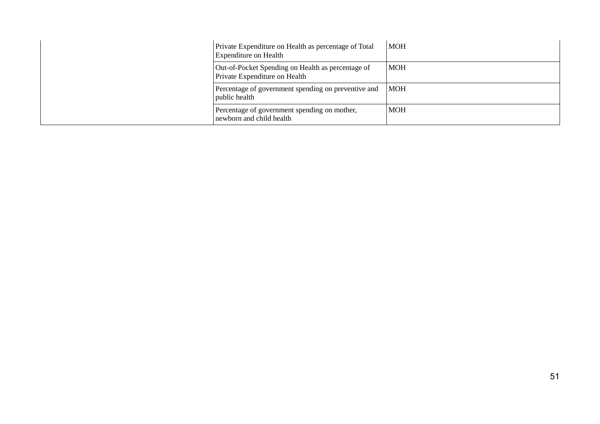|  | Private Expenditure on Health as percentage of Total<br><b>Expenditure on Health</b> | <b>MOH</b> |
|--|--------------------------------------------------------------------------------------|------------|
|  | Out-of-Pocket Spending on Health as percentage of<br>Private Expenditure on Health   | <b>MOH</b> |
|  | Percentage of government spending on preventive and<br>public health                 | <b>MOH</b> |
|  | Percentage of government spending on mother,<br>newborn and child health             | <b>MOH</b> |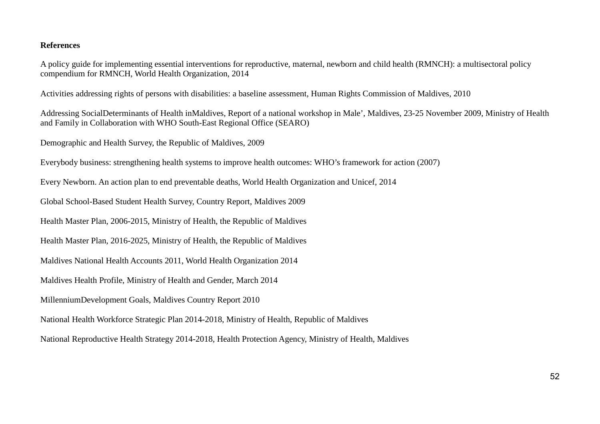#### **References**

A policy guide for implementing essential interventions for reproductive, maternal, newborn and child health (RMNCH): a multisectoral policy compendium for RMNCH, World Health Organization, 2014

Activities addressing rights of persons with disabilities: a baseline assessment, Human Rights Commission of Maldives, 2010

Addressing SocialDeterminants of Health inMaldives, Report of a national workshop in Male', Maldives, 23-25 November 2009, Ministry of Health and Family in Collaboration with WHO South-East Regional Office (SEARO)

Demographic and Health Survey, the Republic of Maldives, 2009

Everybody business: strengthening health systems to improve health outcomes: WHO's framework for action (2007)

Every Newborn. An action plan to end preventable deaths, World Health Organization and Unicef, 2014

Global School-Based Student Health Survey, Country Report, Maldives 2009

Health Master Plan, 2006-2015, Ministry of Health, the Republic of Maldives

Health Master Plan, 2016-2025, Ministry of Health, the Republic of Maldives

Maldives National Health Accounts 2011, World Health Organization 2014

Maldives Health Profile, Ministry of Health and Gender, March 2014

MillenniumDevelopment Goals, Maldives Country Report 2010

National Health Workforce Strategic Plan 2014-2018, Ministry of Health, Republic of Maldives

National Reproductive Health Strategy 2014-2018, Health Protection Agency, Ministry of Health, Maldives